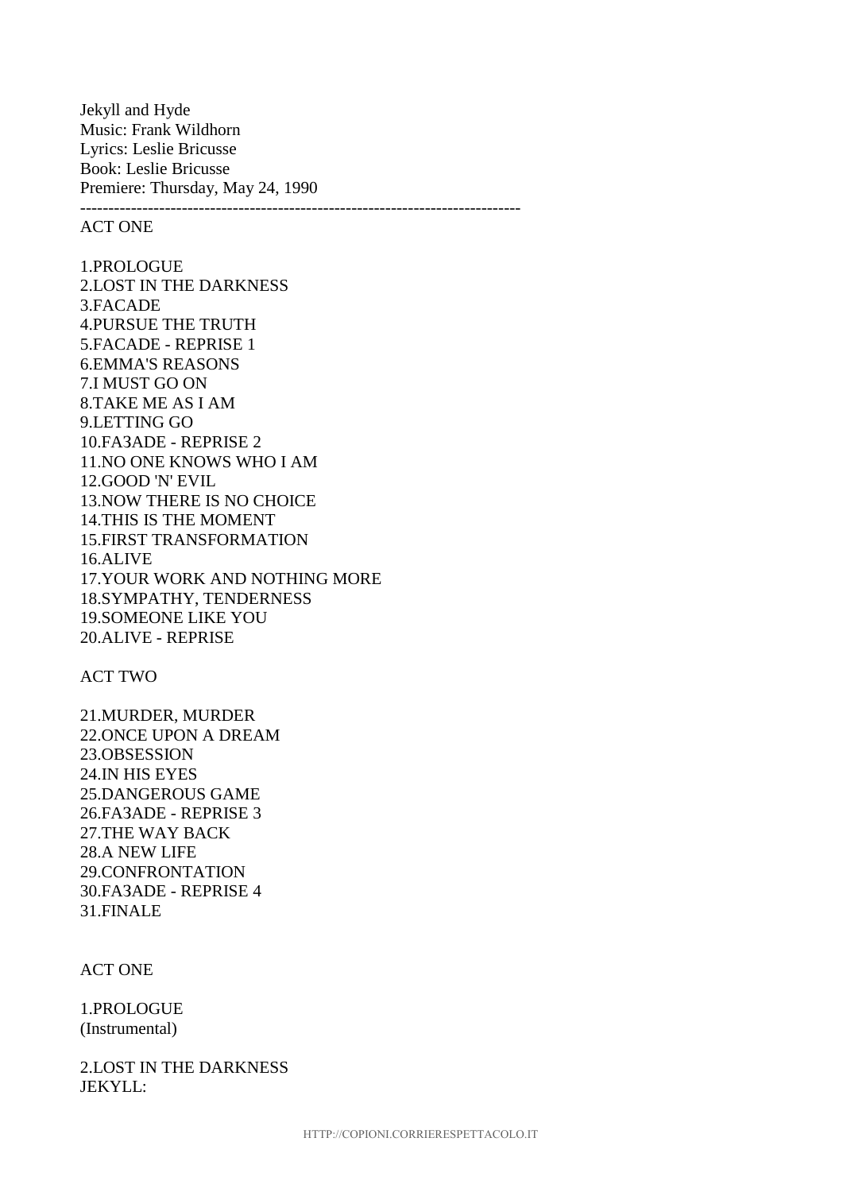Jekyll and Hyde Music: Frank Wildhorn Lyrics: Leslie Bricusse Book: Leslie Bricusse Premiere: Thursday, May 24, 1990 ------------------------------------------------------------------------------

#### ACT ONE

1.PROLOGUE 2.LOST IN THE DARKNESS 3.FACADE 4.PURSUE THE TRUTH 5.FACADE - REPRISE 1 6.EMMA'S REASONS 7.I MUST GO ON 8.TAKE ME AS I AM 9.LETTING GO 10.FAЗADE - REPRISE 2 11.NO ONE KNOWS WHO I AM 12.GOOD 'N' EVIL 13.NOW THERE IS NO CHOICE 14.THIS IS THE MOMENT 15.FIRST TRANSFORMATION 16.ALIVE 17.YOUR WORK AND NOTHING MORE 18.SYMPATHY, TENDERNESS 19.SOMEONE LIKE YOU 20.ALIVE - REPRISE

# ACT TWO

21.MURDER, MURDER 22.ONCE UPON A DREAM 23.OBSESSION 24.IN HIS EYES 25.DANGEROUS GAME 26.FAЗADE - REPRISE 3 27.THE WAY BACK 28.A NEW LIFE 29.CONFRONTATION 30.FAЗADE - REPRISE 4 31.FINALE

ACT ONE

1.PROLOGUE (Instrumental)

2.LOST IN THE DARKNESS JEKYLL: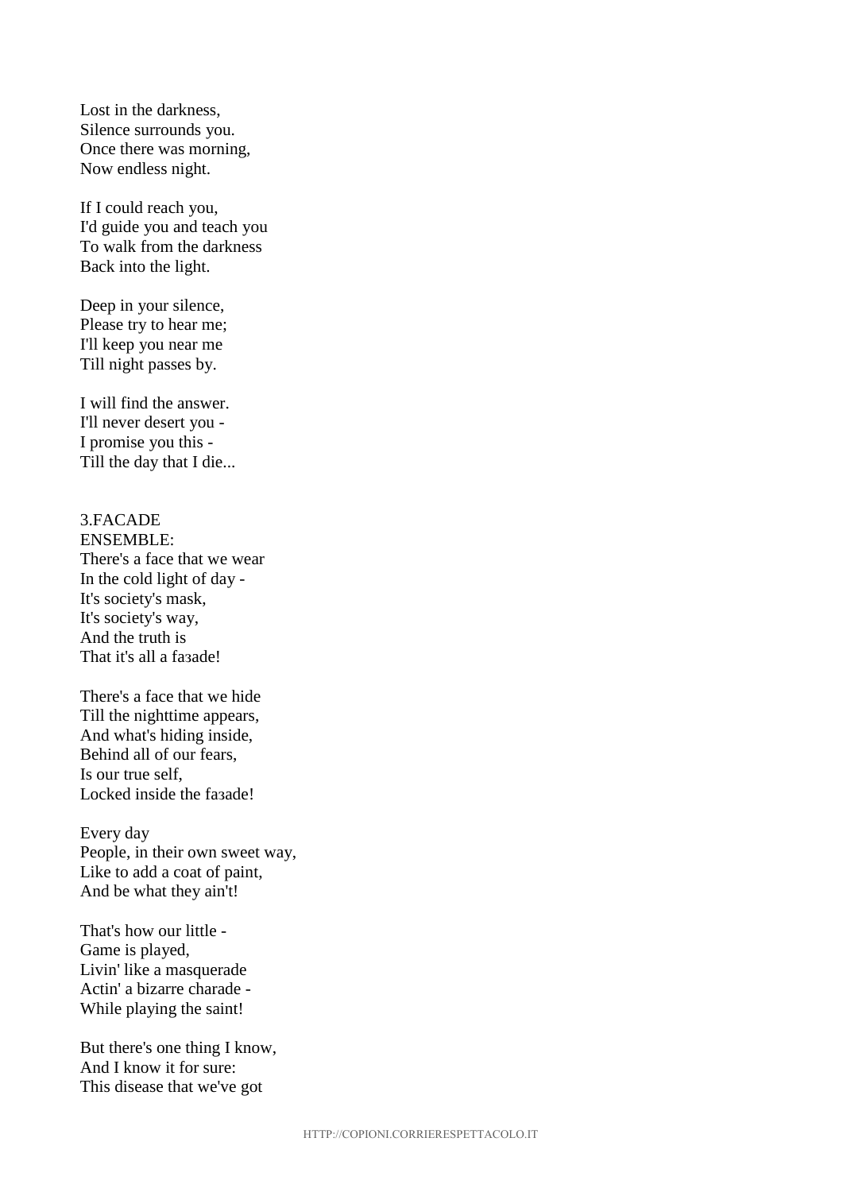Lost in the darkness, Silence surrounds you. Once there was morning, Now endless night.

If I could reach you, I'd guide you and teach you To walk from the darkness Back into the light.

Deep in your silence, Please try to hear me; I'll keep you near me Till night passes by.

I will find the answer. I'll never desert you - I promise you this - Till the day that I die...

#### 3.FACADE ENSEMBLE:

There's a face that we wear In the cold light of day - It's society's mask, It's society's way, And the truth is That it's all a faзade!

There's a face that we hide Till the nighttime appears, And what's hiding inside, Behind all of our fears, Is our true self, Locked inside the faзade!

Every day People, in their own sweet way, Like to add a coat of paint, And be what they ain't!

That's how our little - Game is played, Livin' like a masquerade Actin' a bizarre charade - While playing the saint!

But there's one thing I know, And I know it for sure: This disease that we've got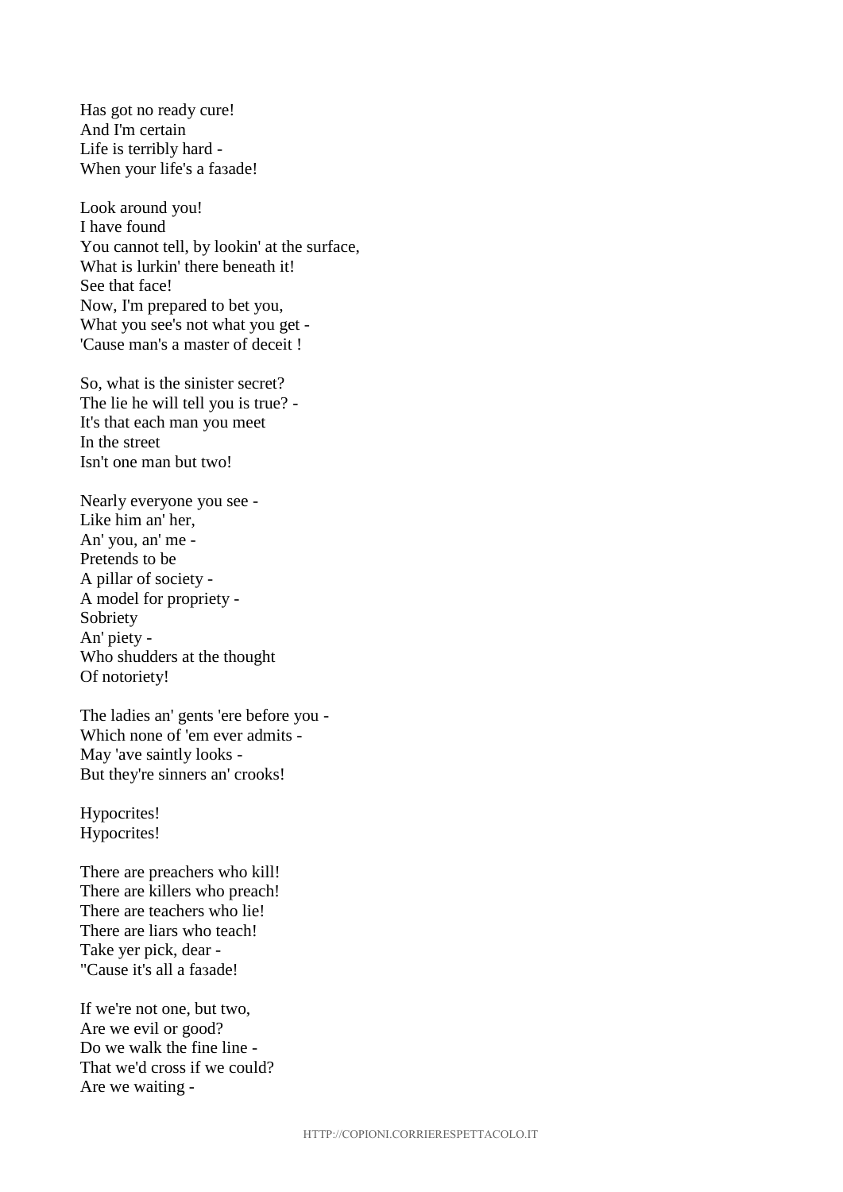Has got no ready cure! And I'm certain Life is terribly hard - When your life's a faзade!

Look around you! I have found You cannot tell, by lookin' at the surface, What is lurkin' there beneath it! See that face! Now, I'm prepared to bet you, What you see's not what you get - 'Cause man's a master of deceit !

So, what is the sinister secret? The lie he will tell you is true? - It's that each man you meet In the street Isn't one man but two!

Nearly everyone you see - Like him an' her, An' you, an' me - Pretends to be A pillar of society - A model for propriety - Sobriety An' piety - Who shudders at the thought Of notoriety!

The ladies an' gents 'ere before you - Which none of 'em ever admits - May 'ave saintly looks - But they're sinners an' crooks!

Hypocrites! Hypocrites!

There are preachers who kill! There are killers who preach! There are teachers who lie! There are liars who teach! Take yer pick, dear - "Cause it's all a faзade!

If we're not one, but two, Are we evil or good? Do we walk the fine line - That we'd cross if we could? Are we waiting -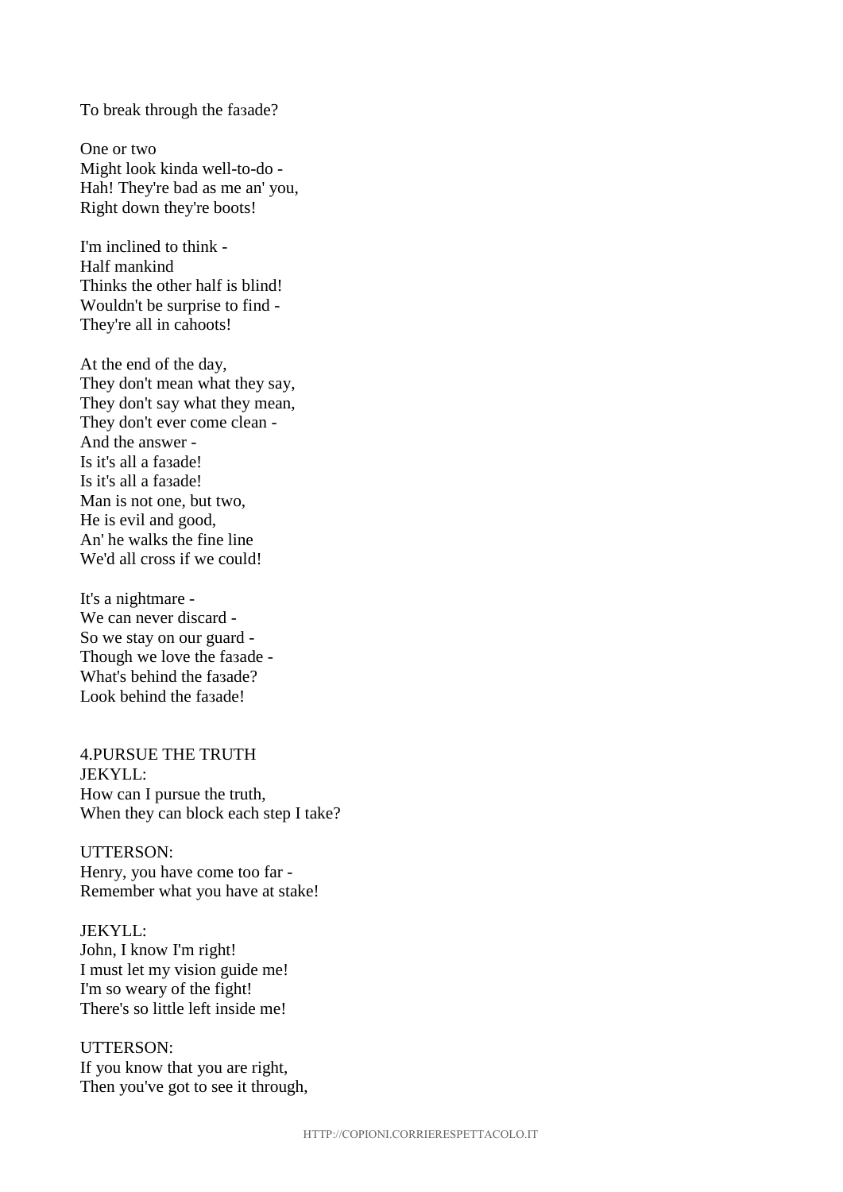To break through the faзade?

One or two Might look kinda well-to-do - Hah! They're bad as me an' you, Right down they're boots!

I'm inclined to think - Half mankind Thinks the other half is blind! Wouldn't be surprise to find - They're all in cahoots!

At the end of the day, They don't mean what they say, They don't say what they mean, They don't ever come clean - And the answer - Is it's all a faзade! Is it's all a faзade! Man is not one, but two, He is evil and good, An' he walks the fine line We'd all cross if we could!

It's a nightmare - We can never discard - So we stay on our guard - Though we love the faзade - What's behind the faзade? Look behind the faзade!

4.PURSUE THE TRUTH JEKYLL: How can I pursue the truth, When they can block each step I take?

UTTERSON: Henry, you have come too far - Remember what you have at stake!

JEKYLL: John, I know I'm right! I must let my vision guide me! I'm so weary of the fight! There's so little left inside me!

UTTERSON: If you know that you are right, Then you've got to see it through,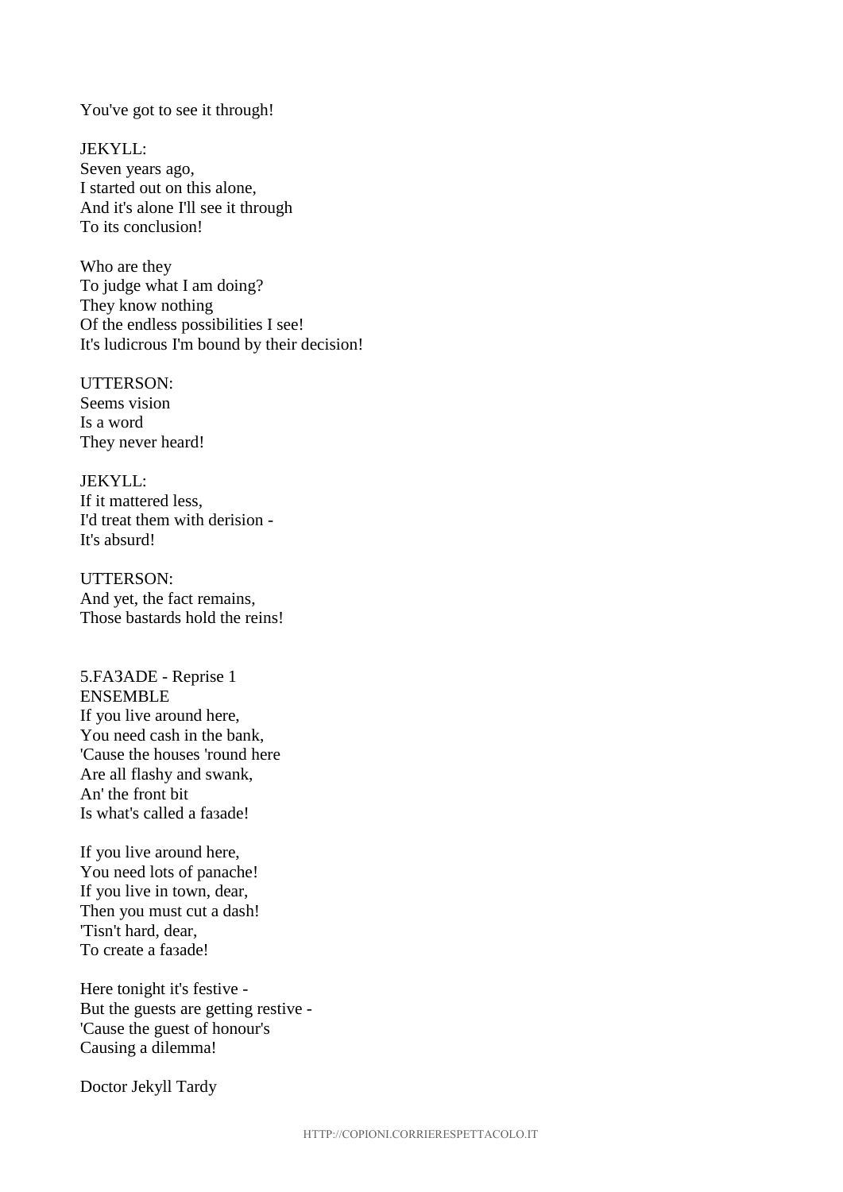You've got to see it through!

JEKYLL: Seven years ago, I started out on this alone, And it's alone I'll see it through To its conclusion!

Who are they To judge what I am doing? They know nothing Of the endless possibilities I see! It's ludicrous I'm bound by their decision!

## UTTERSON:

Seems vision Is a word They never heard!

#### JEKYLL:

If it mattered less, I'd treat them with derision - It's absurd!

UTTERSON: And yet, the fact remains, Those bastards hold the reins!

#### 5.FAЗADE - Reprise 1 ENSEMBLE

If you live around here, You need cash in the bank, 'Cause the houses 'round here Are all flashy and swank, An' the front bit Is what's called a faзade!

If you live around here, You need lots of panache! If you live in town, dear, Then you must cut a dash! 'Tisn't hard, dear, To create a faзade!

Here tonight it's festive - But the guests are getting restive - 'Cause the guest of honour's Causing a dilemma!

Doctor Jekyll Tardy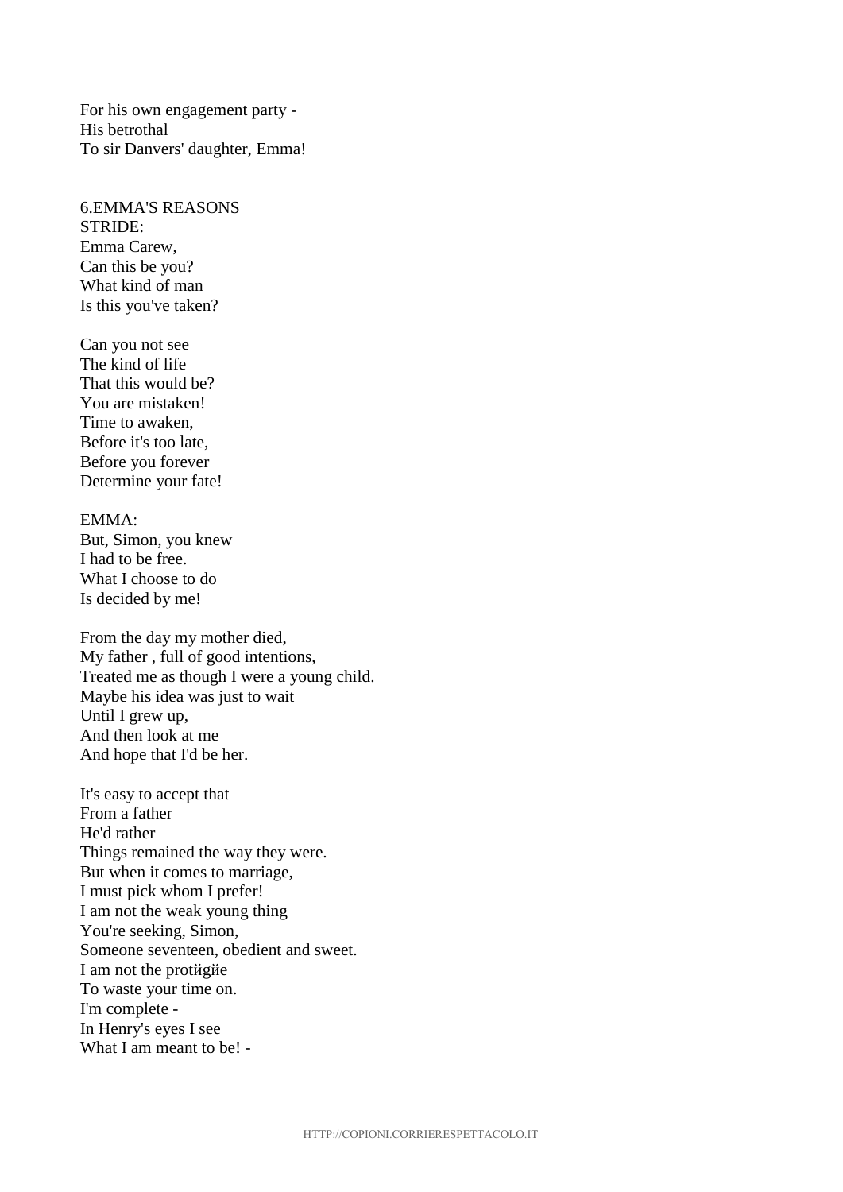For his own engagement party - His betrothal To sir Danvers' daughter, Emma!

6.EMMA'S REASONS STRIDE: Emma Carew, Can this be you? What kind of man Is this you've taken?

Can you not see The kind of life That this would be? You are mistaken! Time to awaken, Before it's too late, Before you forever Determine your fate!

EMMA: But, Simon, you knew I had to be free. What I choose to do Is decided by me!

From the day my mother died, My father , full of good intentions, Treated me as though I were a young child. Maybe his idea was just to wait Until I grew up, And then look at me And hope that I'd be her.

It's easy to accept that From a father He'd rather Things remained the way they were. But when it comes to marriage, I must pick whom I prefer! I am not the weak young thing You're seeking, Simon, Someone seventeen, obedient and sweet. I am not the protйgйe To waste your time on. I'm complete - In Henry's eyes I see What I am meant to be! -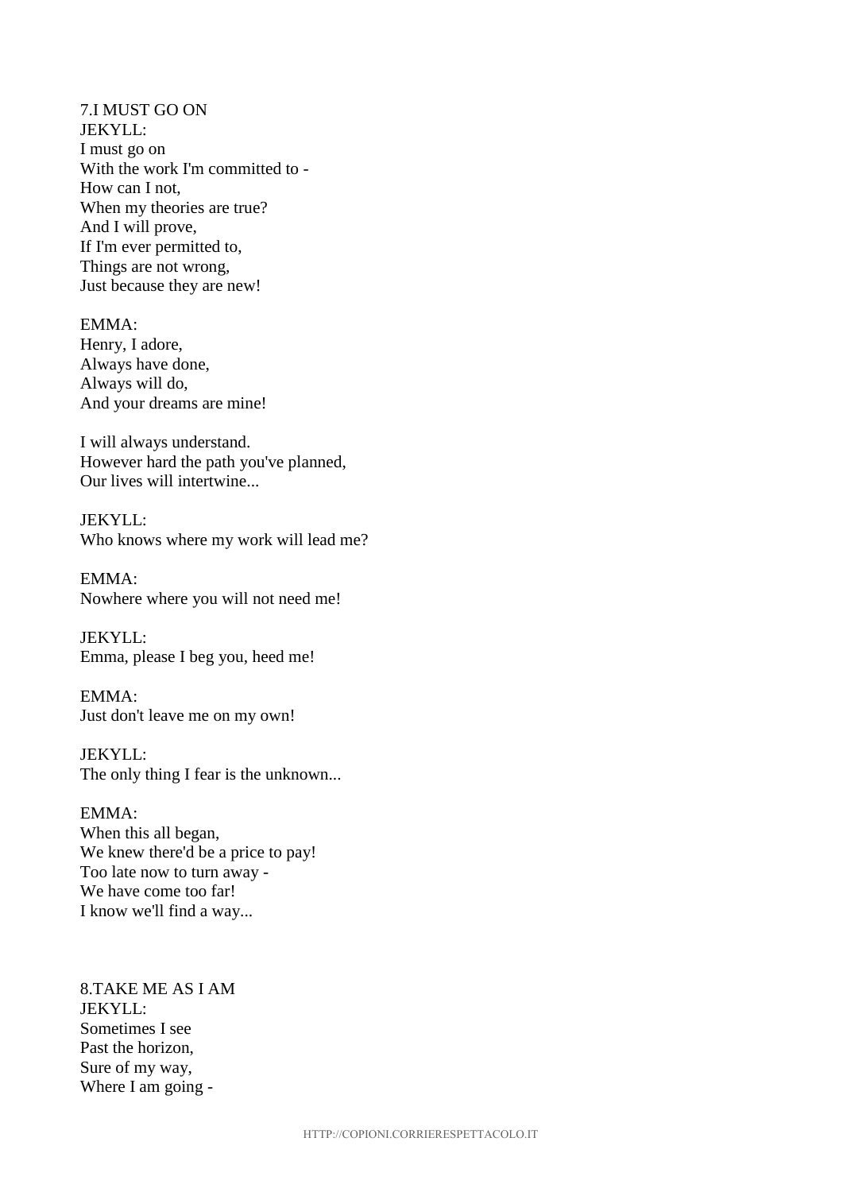7.I MUST GO ON JEKYLL: I must go on With the work I'm committed to - How can I not, When my theories are true? And I will prove, If I'm ever permitted to, Things are not wrong, Just because they are new!

EMMA: Henry, I adore, Always have done, Always will do, And your dreams are mine!

I will always understand. However hard the path you've planned, Our lives will intertwine...

JEKYLL: Who knows where my work will lead me?

EMMA: Nowhere where you will not need me!

JEKYLL: Emma, please I beg you, heed me!

EMMA: Just don't leave me on my own!

JEKYLL: The only thing I fear is the unknown...

EMMA: When this all began, We knew there'd be a price to pay! Too late now to turn away - We have come too far! I know we'll find a way...

8.TAKE ME AS I AM JEKYLL: Sometimes I see Past the horizon, Sure of my way, Where I am going -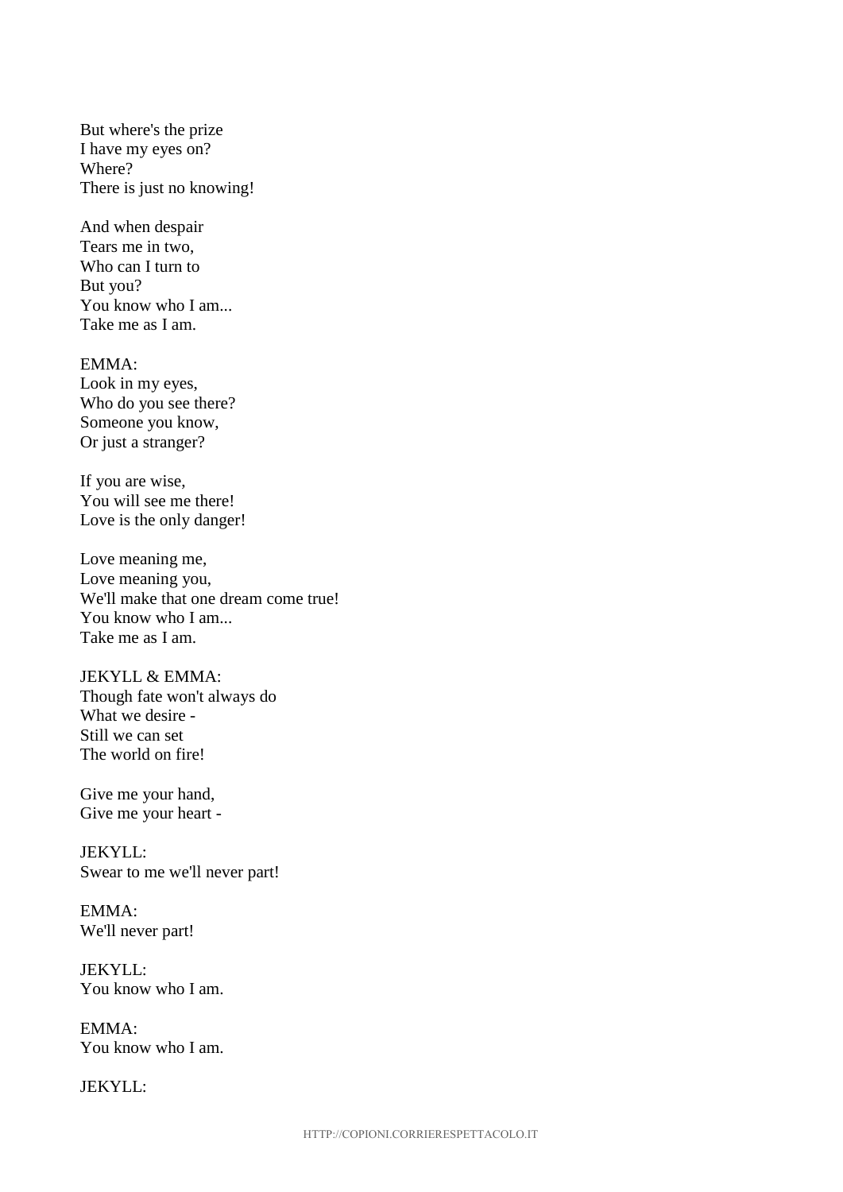But where's the prize I have my eyes on? Where? There is just no knowing!

And when despair Tears me in two, Who can I turn to But you? You know who I am... Take me as I am.

EMMA: Look in my eyes, Who do you see there? Someone you know, Or just a stranger?

If you are wise, You will see me there! Love is the only danger!

Love meaning me, Love meaning you, We'll make that one dream come true! You know who I am. Take me as I am.

JEKYLL & EMMA: Though fate won't always do What we desire - Still we can set The world on fire!

Give me your hand, Give me your heart -

JEKYLL: Swear to me we'll never part!

EMMA: We'll never part!

JEKYLL: You know who I am.

EMMA: You know who I am.

JEKYLL: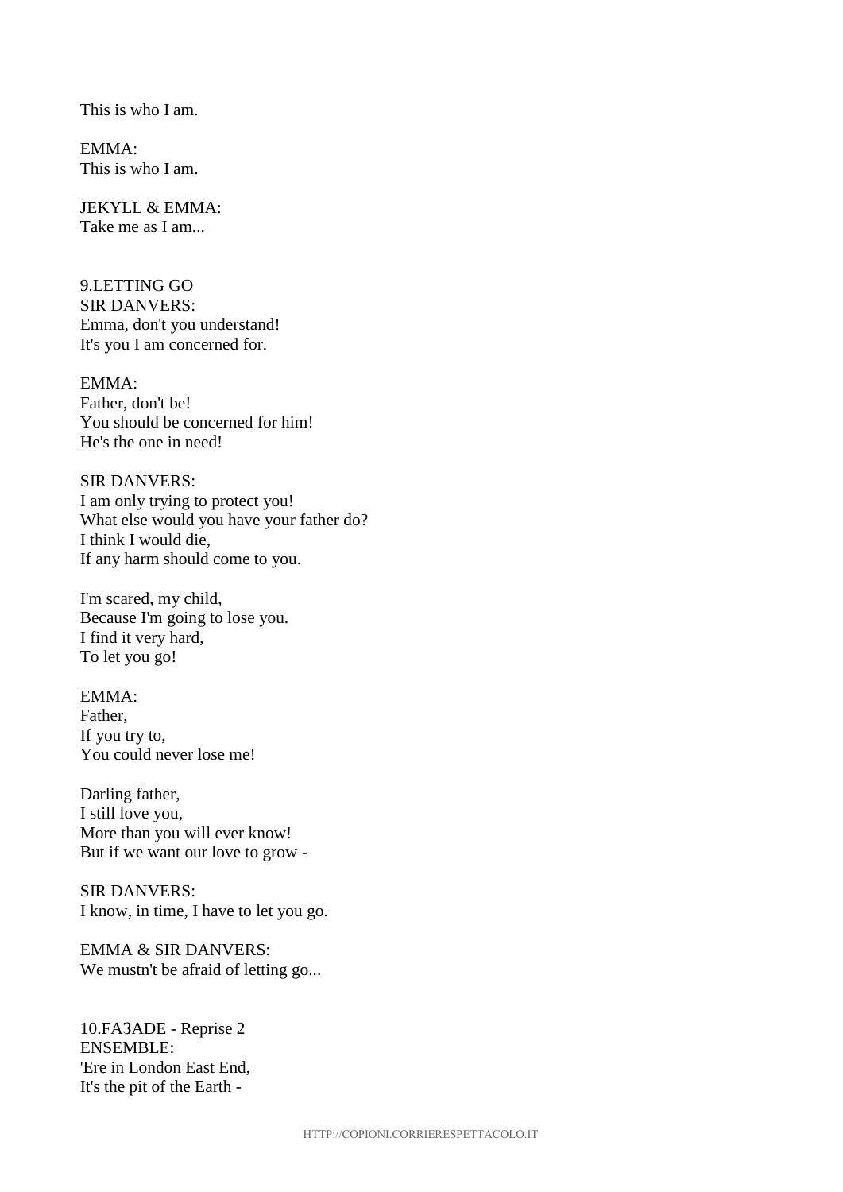This is who I am.

EMMA: This is who I am.

JEKYLL & EMMA: Take me as I am...

9.LETTING GO SIR DANVERS: Emma, don't you understand! It's you I am concerned for.

EMMA:

Father, don't be! You should be concerned for him! He's the one in need!

SIR DANVERS: I am only trying to protect you! What else would you have your father do? I think I would die, If any harm should come to you.

I'm scared, my child, Because I'm going to lose you. I find it very hard, To let you go!

EMMA: Father, If you try to, You could never lose me!

Darling father, I still love you, More than you will ever know! But if we want our love to grow -

SIR DANVERS: I know, in time, I have to let you go.

EMMA & SIR DANVERS: We mustn't be afraid of letting go...

10.FAЗADE - Reprise 2 ENSEMBLE: 'Ere in London East End, It's the pit of the Earth -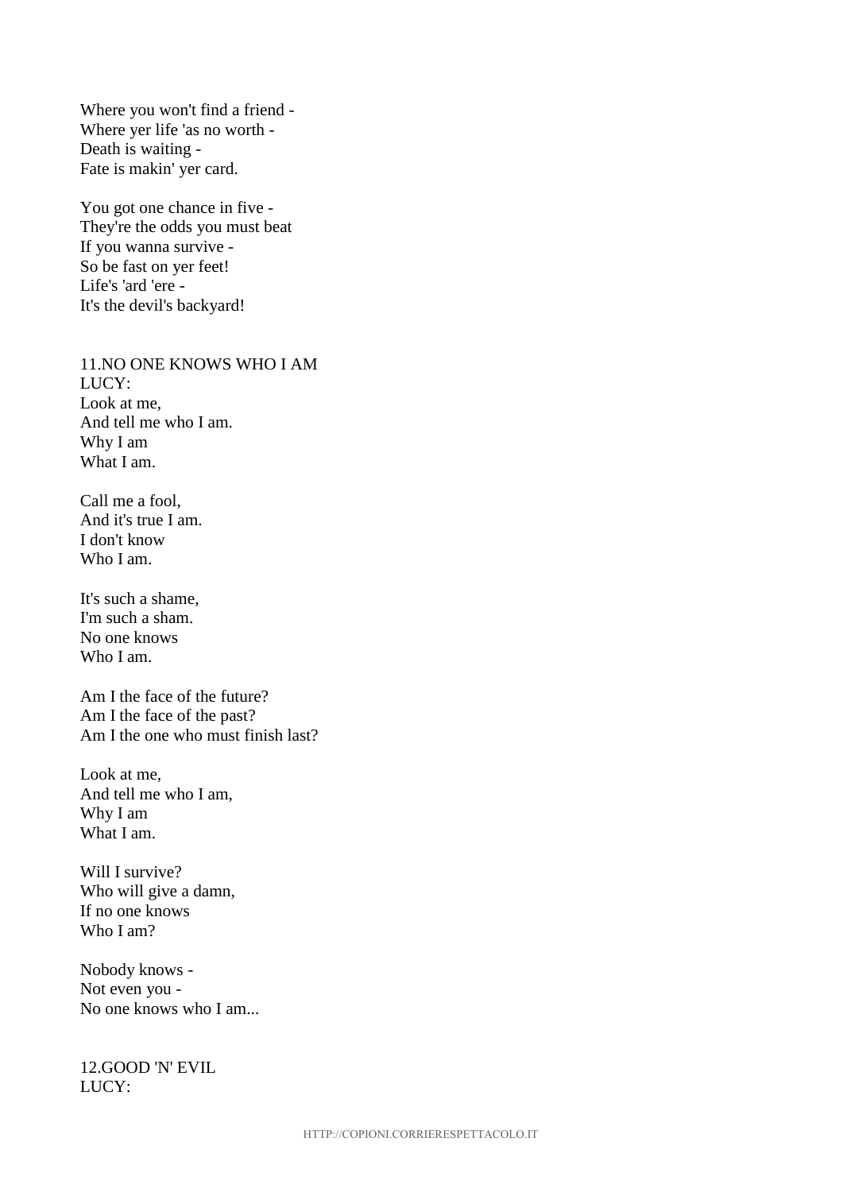Where you won't find a friend - Where yer life 'as no worth - Death is waiting - Fate is makin' yer card.

You got one chance in five - They're the odds you must beat If you wanna survive - So be fast on yer feet! Life's 'ard 'ere - It's the devil's backyard!

11.NO ONE KNOWS WHO I AM LUCY: Look at me, And tell me who I am. Why I am What I am.

Call me a fool, And it's true I am. I don't know Who I am.

It's such a shame, I'm such a sham. No one knows Who I am.

Am I the face of the future? Am I the face of the past? Am I the one who must finish last?

Look at me, And tell me who I am, Why I am What I am.

Will I survive? Who will give a damn, If no one knows Who I am?

Nobody knows - Not even you - No one knows who I am...

12.GOOD 'N' EVIL LUCY: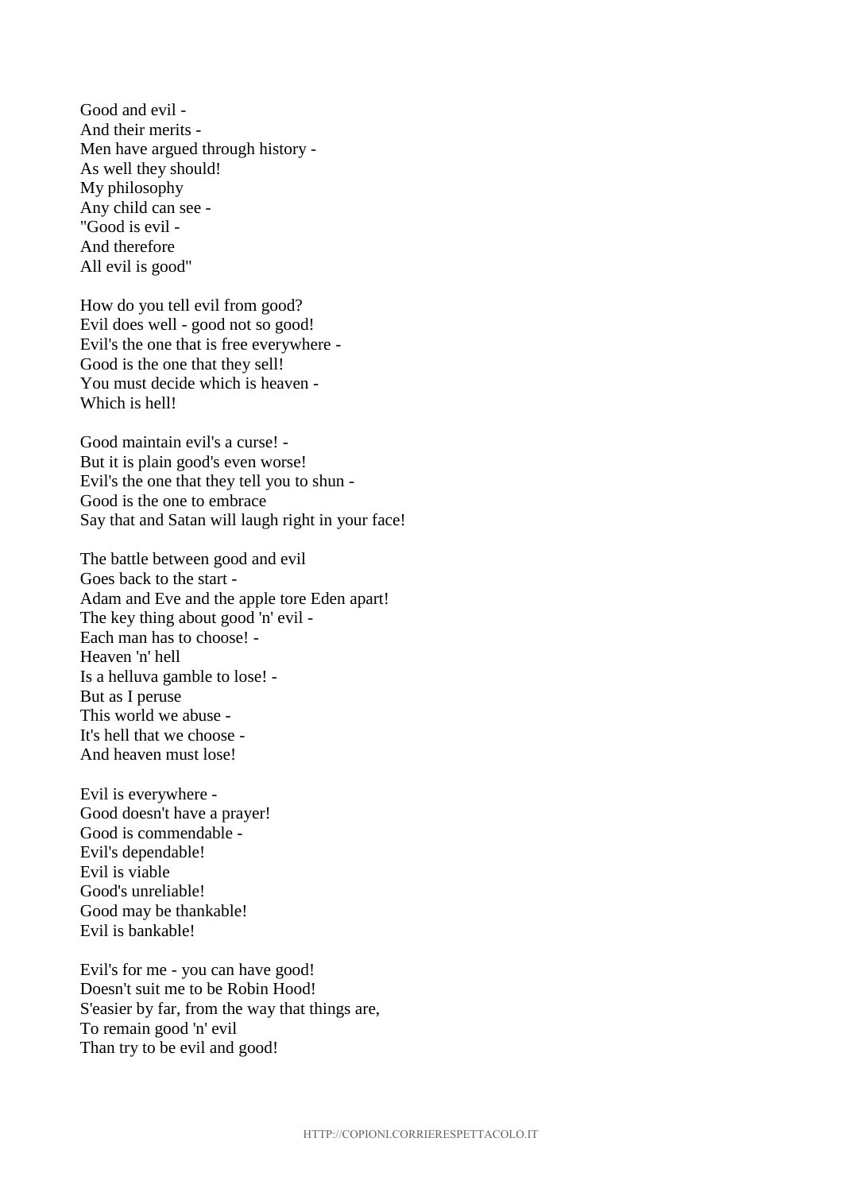Good and evil - And their merits - Men have argued through history - As well they should! My philosophy Any child can see - "Good is evil - And therefore All evil is good"

How do you tell evil from good? Evil does well - good not so good! Evil's the one that is free everywhere - Good is the one that they sell! You must decide which is heaven - Which is hell!

Good maintain evil's a curse! - But it is plain good's even worse! Evil's the one that they tell you to shun - Good is the one to embrace Say that and Satan will laugh right in your face!

The battle between good and evil Goes back to the start - Adam and Eve and the apple tore Eden apart! The key thing about good 'n' evil - Each man has to choose! - Heaven 'n' hell Is a helluva gamble to lose! - But as I peruse This world we abuse - It's hell that we choose - And heaven must lose!

Evil is everywhere - Good doesn't have a prayer! Good is commendable - Evil's dependable! Evil is viable Good's unreliable! Good may be thankable! Evil is bankable!

Evil's for me - you can have good! Doesn't suit me to be Robin Hood! S'easier by far, from the way that things are, To remain good 'n' evil Than try to be evil and good!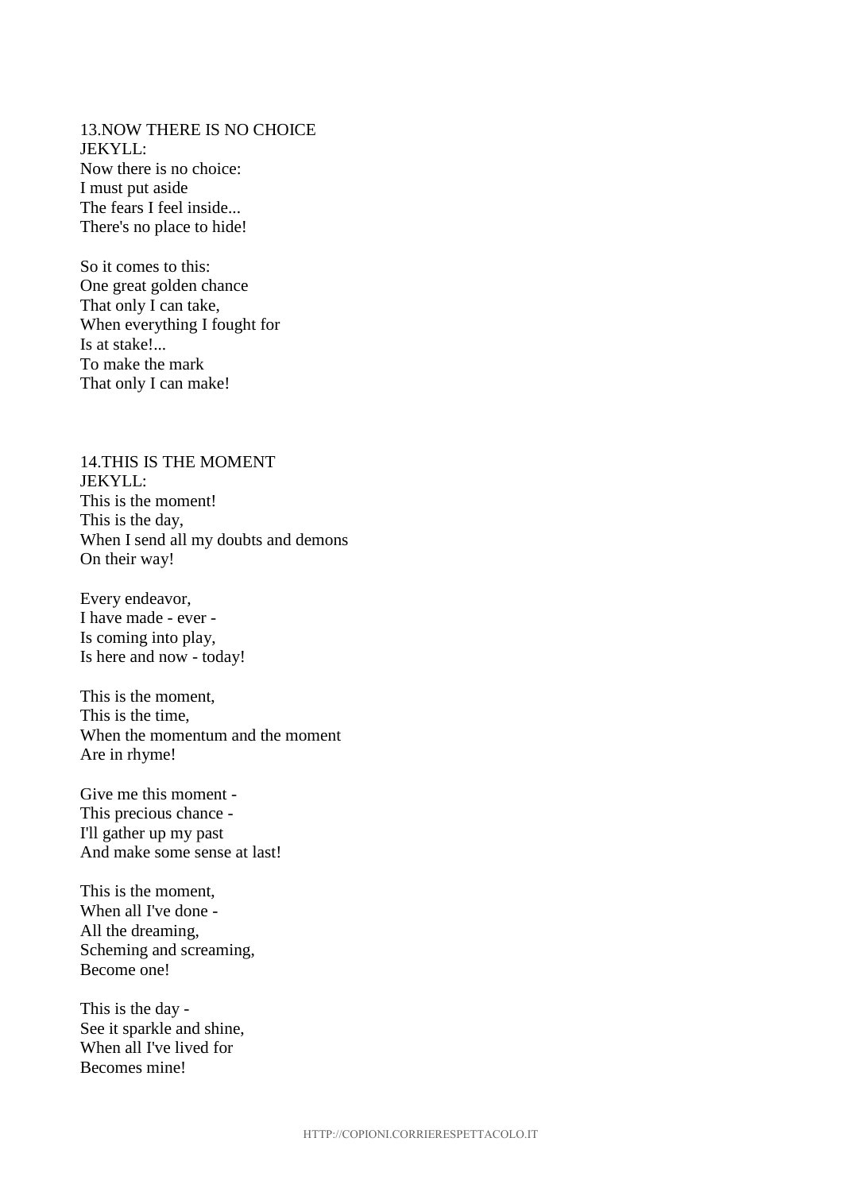# 13.NOW THERE IS NO CHOICE JEKYLL: Now there is no choice: I must put aside The fears I feel inside... There's no place to hide!

So it comes to this: One great golden chance That only I can take, When everything I fought for Is at stake!... To make the mark That only I can make!

# 14.THIS IS THE MOMENT JEKYLL: This is the moment! This is the day, When I send all my doubts and demons On their way!

Every endeavor, I have made - ever - Is coming into play, Is here and now - today!

This is the moment, This is the time, When the momentum and the moment Are in rhyme!

Give me this moment - This precious chance - I'll gather up my past And make some sense at last!

This is the moment, When all I've done - All the dreaming, Scheming and screaming, Become one!

This is the day - See it sparkle and shine, When all I've lived for Becomes mine!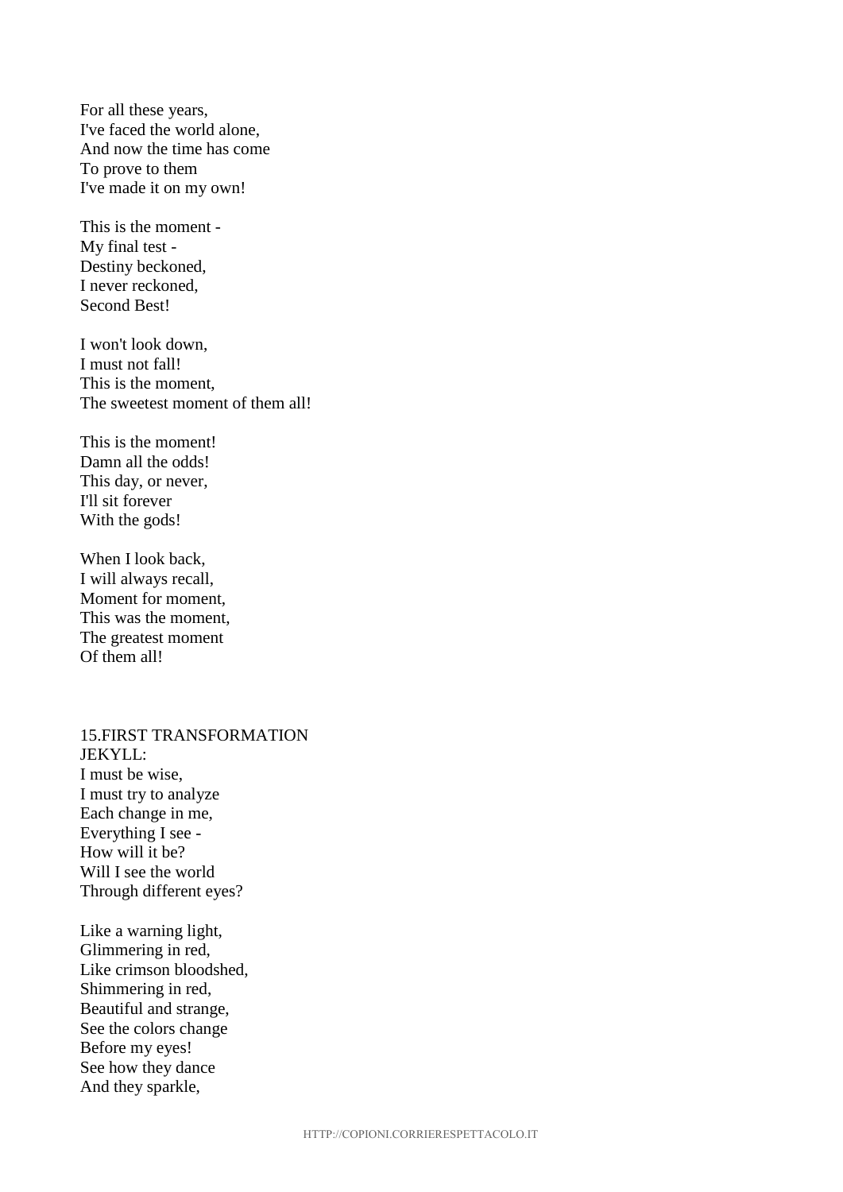For all these years, I've faced the world alone, And now the time has come To prove to them I've made it on my own!

This is the moment - My final test - Destiny beckoned, I never reckoned, Second Best!

I won't look down, I must not fall! This is the moment, The sweetest moment of them all!

This is the moment! Damn all the odds! This day, or never, I'll sit forever With the gods!

When I look back, I will always recall, Moment for moment, This was the moment, The greatest moment Of them all!

# 15.FIRST TRANSFORMATION JEKYLL: I must be wise, I must try to analyze

Each change in me, Everything I see - How will it be? Will I see the world Through different eyes?

Like a warning light, Glimmering in red, Like crimson bloodshed, Shimmering in red, Beautiful and strange, See the colors change Before my eyes! See how they dance And they sparkle,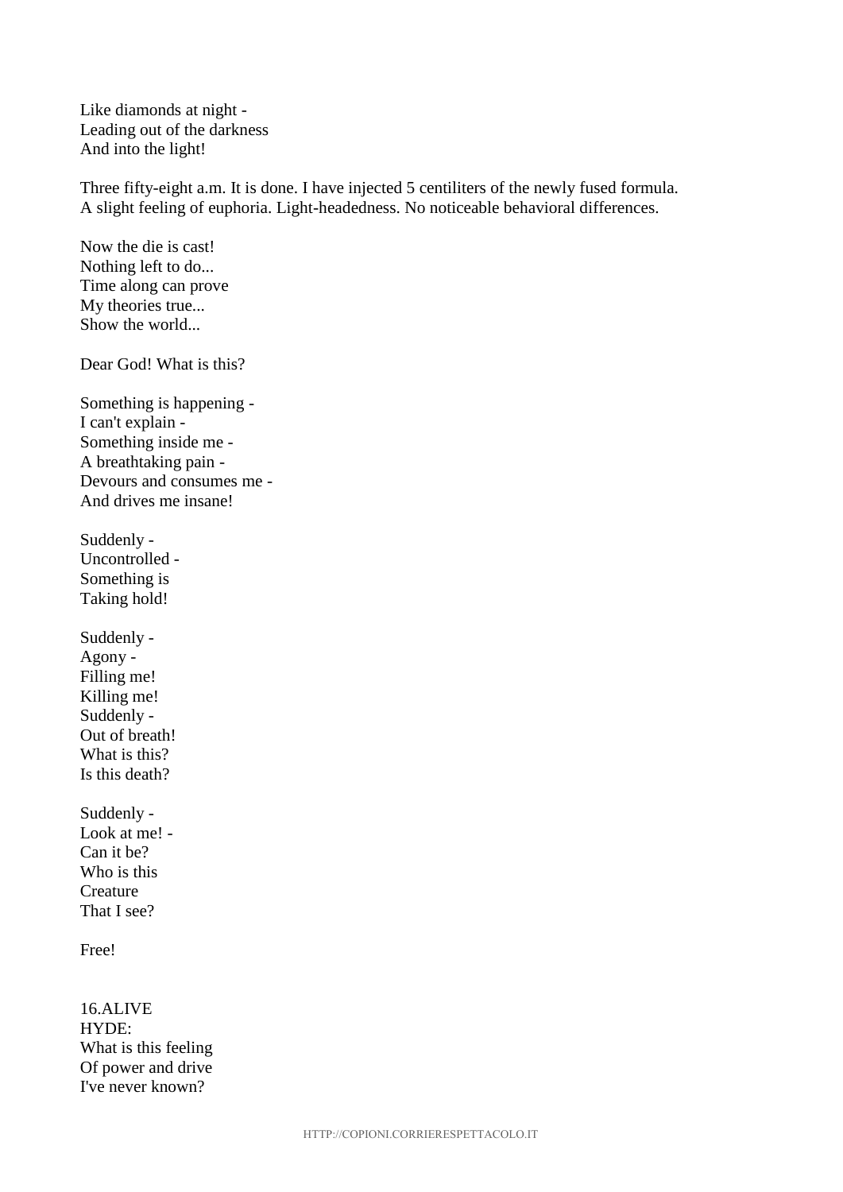Like diamonds at night - Leading out of the darkness And into the light!

Three fifty-eight a.m. It is done. I have injected 5 centiliters of the newly fused formula. A slight feeling of euphoria. Light-headedness. No noticeable behavioral differences.

Now the die is cast! Nothing left to do... Time along can prove My theories true... Show the world...

Dear God! What is this?

Something is happening - I can't explain - Something inside me - A breathtaking pain - Devours and consumes me - And drives me insane!

Suddenly - Uncontrolled - Something is Taking hold!

Suddenly - Agony - Filling me! Killing me! Suddenly - Out of breath! What is this? Is this death?

Suddenly - Look at me! - Can it be? Who is this **Creature** That I see?

Free!

16.ALIVE HYDE: What is this feeling Of power and drive I've never known?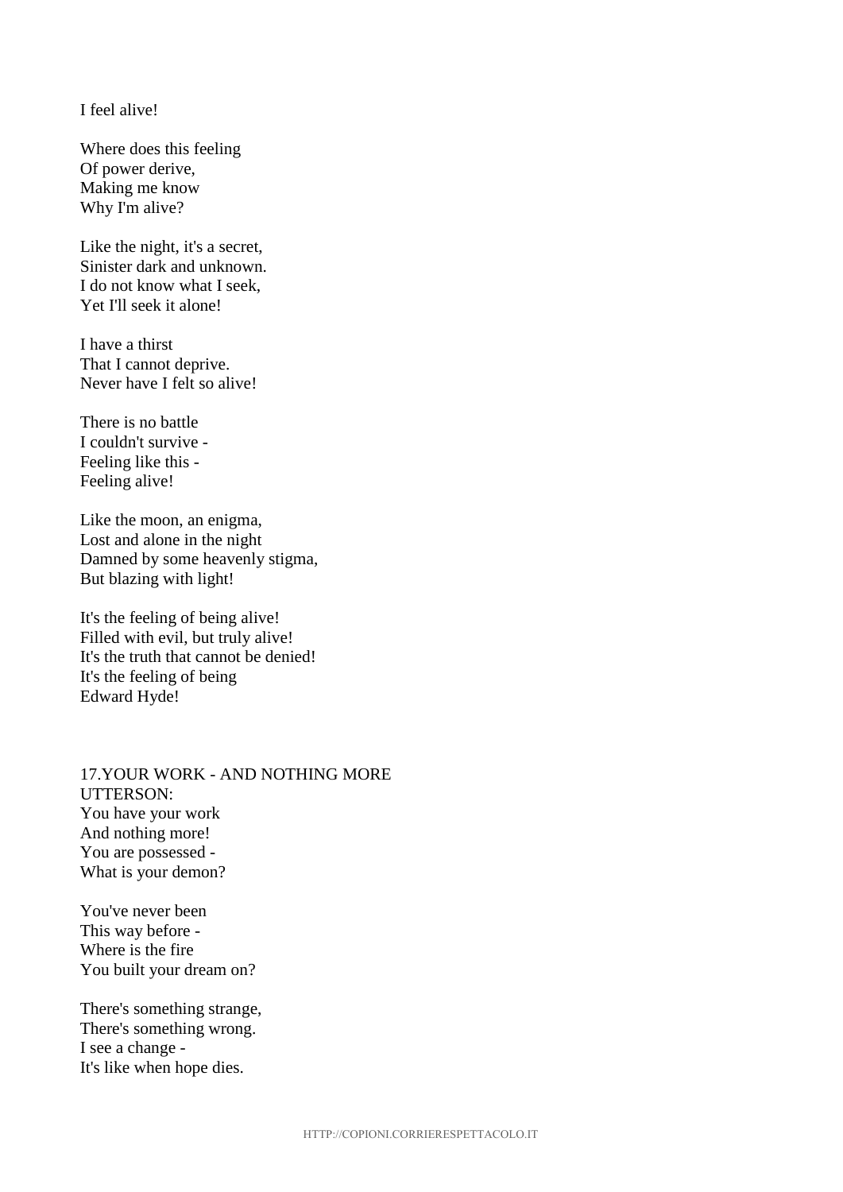I feel alive!

Where does this feeling Of power derive, Making me know Why I'm alive?

Like the night, it's a secret, Sinister dark and unknown. I do not know what I seek, Yet I'll seek it alone!

I have a thirst That I cannot deprive. Never have I felt so alive!

There is no battle I couldn't survive - Feeling like this - Feeling alive!

Like the moon, an enigma, Lost and alone in the night Damned by some heavenly stigma, But blazing with light!

It's the feeling of being alive! Filled with evil, but truly alive! It's the truth that cannot be denied! It's the feeling of being Edward Hyde!

17.YOUR WORK - AND NOTHING MORE UTTERSON: You have your work And nothing more! You are possessed - What is your demon?

You've never been This way before - Where is the fire You built your dream on?

There's something strange, There's something wrong. I see a change - It's like when hope dies.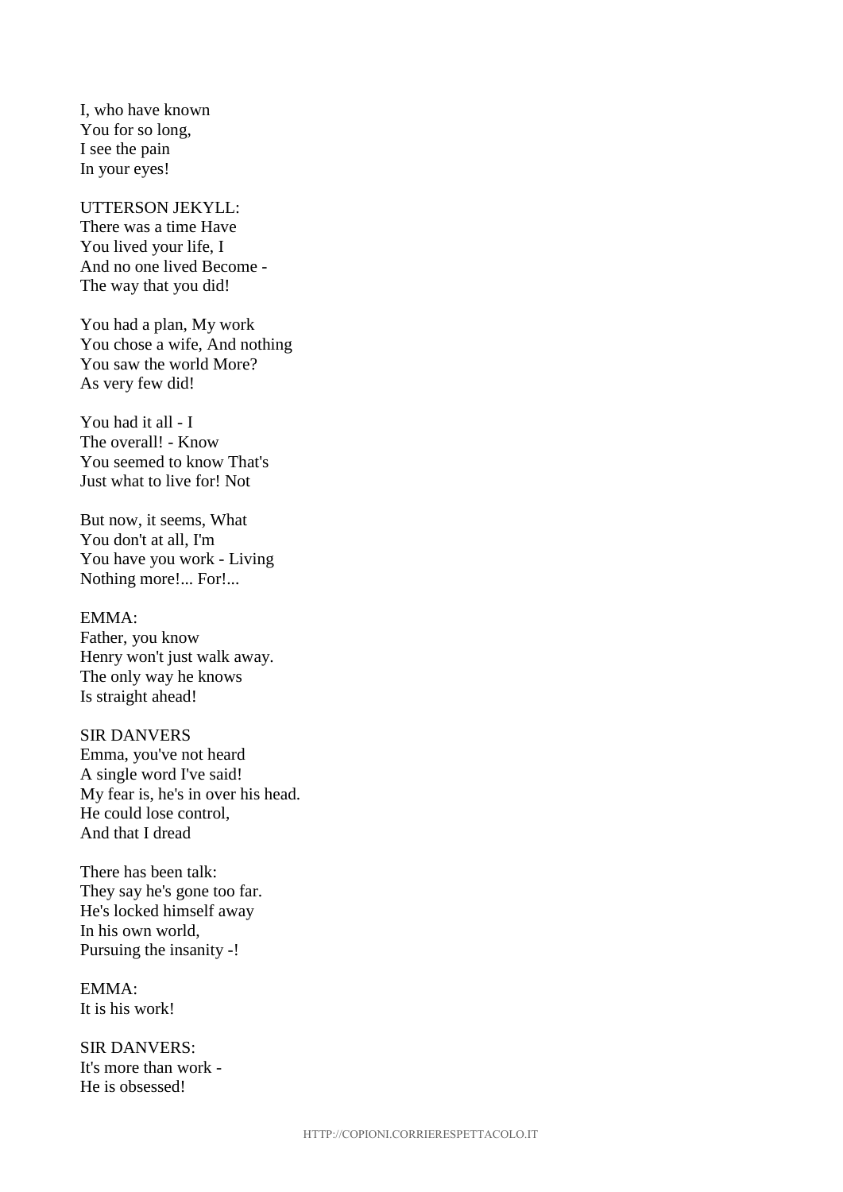I, who have known You for so long, I see the pain In your eyes!

#### UTTERSON JEKYLL:

There was a time Have You lived your life, I And no one lived Become - The way that you did!

You had a plan, My work You chose a wife, And nothing You saw the world More? As very few did!

You had it all - I The overall! - Know You seemed to know That's Just what to live for! Not

But now, it seems, What You don't at all, I'm You have you work - Living Nothing more!... For!...

EMMA: Father, you know Henry won't just walk away. The only way he knows Is straight ahead!

SIR DANVERS Emma, you've not heard A single word I've said! My fear is, he's in over his head. He could lose control, And that I dread

There has been talk: They say he's gone too far. He's locked himself away In his own world, Pursuing the insanity -!

EMMA: It is his work!

SIR DANVERS: It's more than work - He is obsessed!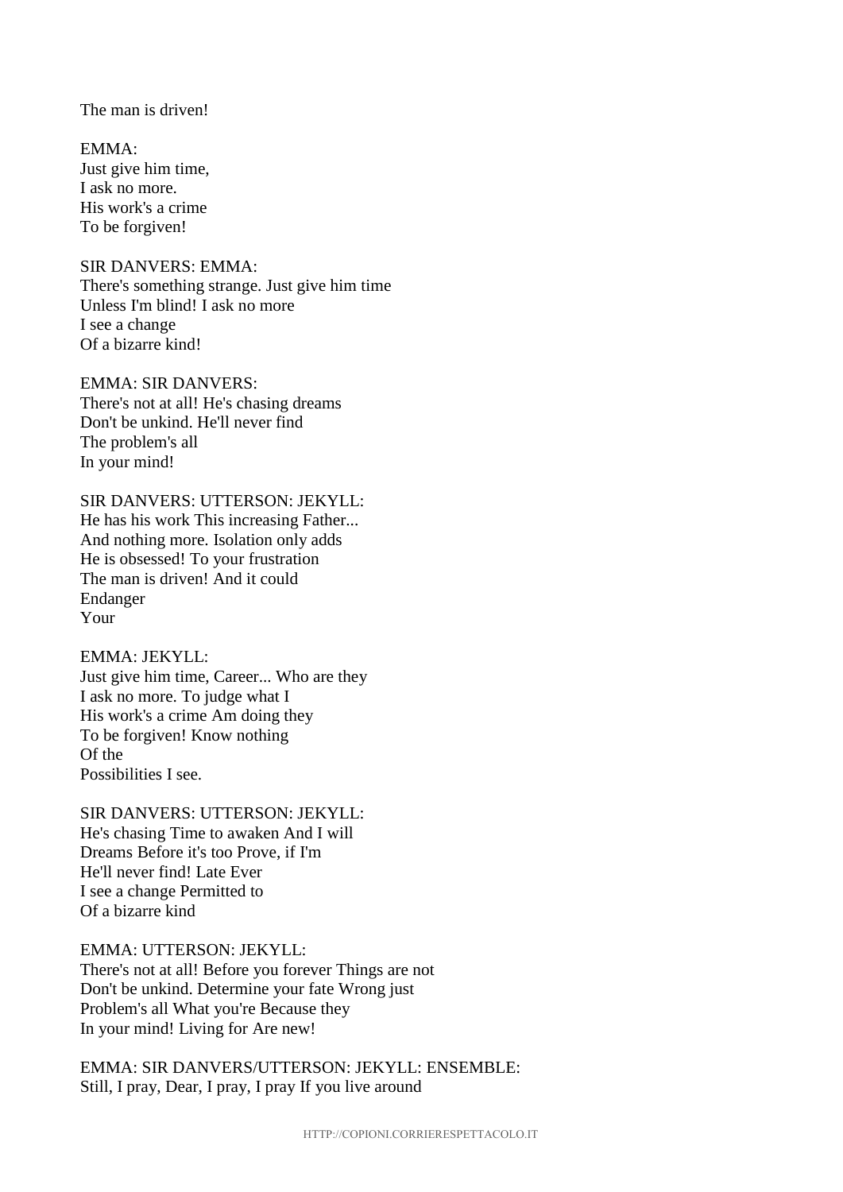The man is driven!

EMMA: Just give him time, I ask no more. His work's a crime To be forgiven!

#### SIR DANVERS: EMMA:

There's something strange. Just give him time Unless I'm blind! I ask no more I see a change Of a bizarre kind!

### EMMA: SIR DANVERS:

There's not at all! He's chasing dreams Don't be unkind. He'll never find The problem's all In your mind!

# SIR DANVERS: UTTERSON: JEKYLL:

He has his work This increasing Father... And nothing more. Isolation only adds He is obsessed! To your frustration The man is driven! And it could Endanger Your

#### EMMA: JEKYLL:

Just give him time, Career... Who are they I ask no more. To judge what I His work's a crime Am doing they To be forgiven! Know nothing Of the Possibilities I see.

# SIR DANVERS: UTTERSON: JEKYLL:

He's chasing Time to awaken And I will Dreams Before it's too Prove, if I'm He'll never find! Late Ever I see a change Permitted to Of a bizarre kind

# EMMA: UTTERSON: JEKYLL:

There's not at all! Before you forever Things are not Don't be unkind. Determine your fate Wrong just Problem's all What you're Because they In your mind! Living for Are new!

EMMA: SIR DANVERS/UTTERSON: JEKYLL: ENSEMBLE: Still, I pray, Dear, I pray, I pray If you live around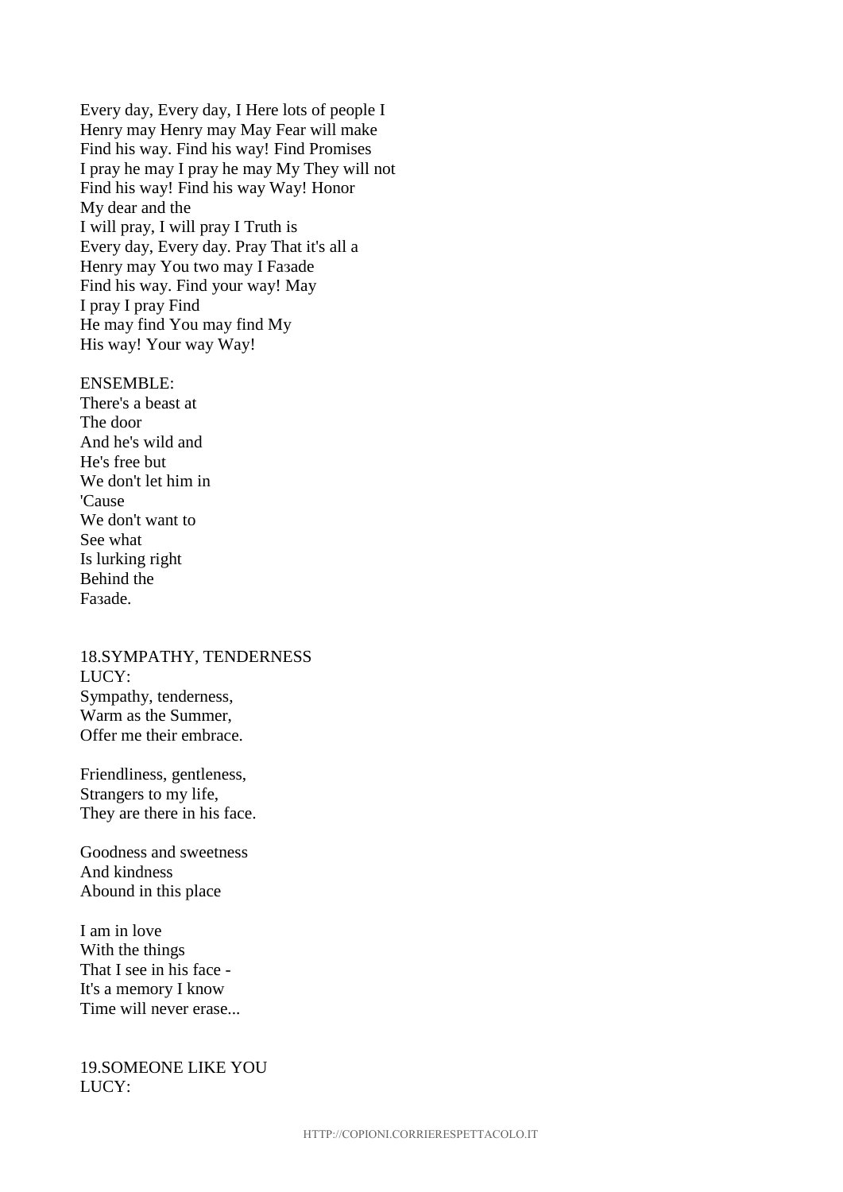Every day, Every day, I Here lots of people I Henry may Henry may May Fear will make Find his way. Find his way! Find Promises I pray he may I pray he may My They will not Find his way! Find his way Way! Honor My dear and the I will pray, I will pray I Truth is Every day, Every day. Pray That it's all a Henry may You two may I Faзade Find his way. Find your way! May I pray I pray Find He may find You may find My His way! Your way Way!

#### ENSEMBLE:

There's a beast at The door And he's wild and He's free but We don't let him in 'Cause We don't want to See what Is lurking right Behind the Faзade.

# 18.SYMPATHY, TENDERNESS LUCY: Sympathy, tenderness, Warm as the Summer, Offer me their embrace.

Friendliness, gentleness, Strangers to my life, They are there in his face.

Goodness and sweetness And kindness Abound in this place

I am in love With the things That I see in his face - It's a memory I know Time will never erase...

19.SOMEONE LIKE YOU LUCY: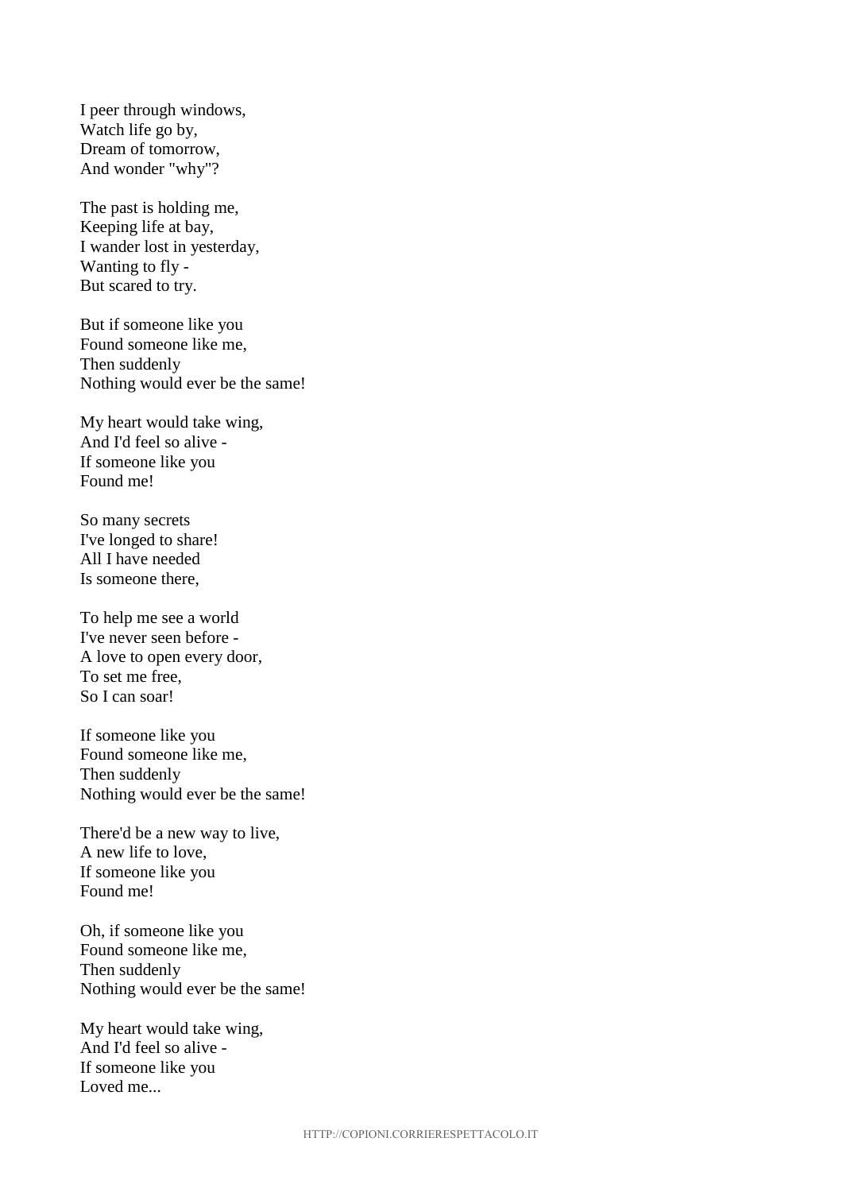I peer through windows, Watch life go by, Dream of tomorrow, And wonder "why"?

The past is holding me, Keeping life at bay, I wander lost in yesterday, Wanting to fly - But scared to try.

But if someone like you Found someone like me, Then suddenly Nothing would ever be the same!

My heart would take wing, And I'd feel so alive - If someone like you Found me!

So many secrets I've longed to share! All I have needed Is someone there,

To help me see a world I've never seen before - A love to open every door, To set me free, So I can soar!

If someone like you Found someone like me, Then suddenly Nothing would ever be the same!

There'd be a new way to live, A new life to love, If someone like you Found me!

Oh, if someone like you Found someone like me, Then suddenly Nothing would ever be the same!

My heart would take wing, And I'd feel so alive - If someone like you Loved me...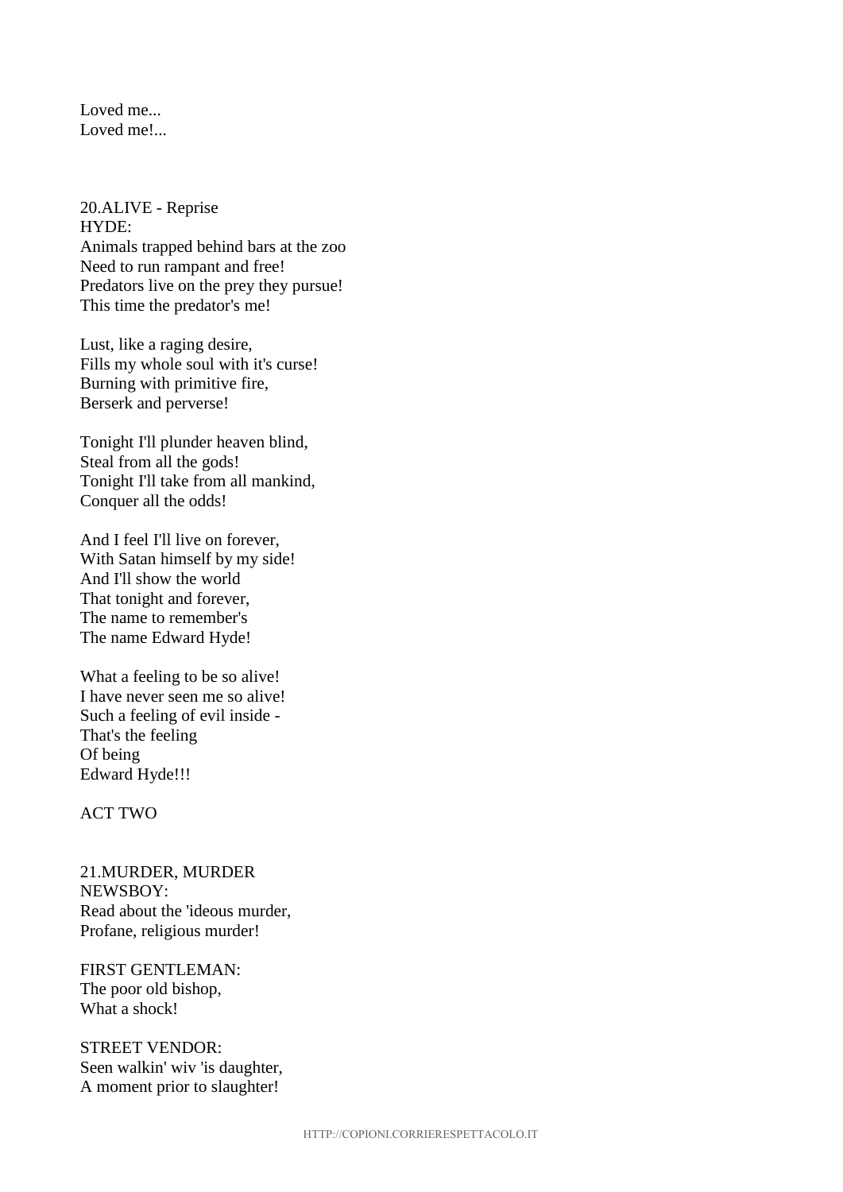Loved me... Loved me!...

20.ALIVE - Reprise HYDE: Animals trapped behind bars at the zoo Need to run rampant and free! Predators live on the prey they pursue! This time the predator's me!

Lust, like a raging desire, Fills my whole soul with it's curse! Burning with primitive fire, Berserk and perverse!

Tonight I'll plunder heaven blind, Steal from all the gods! Tonight I'll take from all mankind, Conquer all the odds!

And I feel I'll live on forever, With Satan himself by my side! And I'll show the world That tonight and forever, The name to remember's The name Edward Hyde!

What a feeling to be so alive! I have never seen me so alive! Such a feeling of evil inside - That's the feeling Of being Edward Hyde!!!

ACT TWO

21.MURDER, MURDER NEWSBOY: Read about the 'ideous murder, Profane, religious murder!

FIRST GENTLEMAN: The poor old bishop, What a shock!

STREET VENDOR: Seen walkin' wiv 'is daughter, A moment prior to slaughter!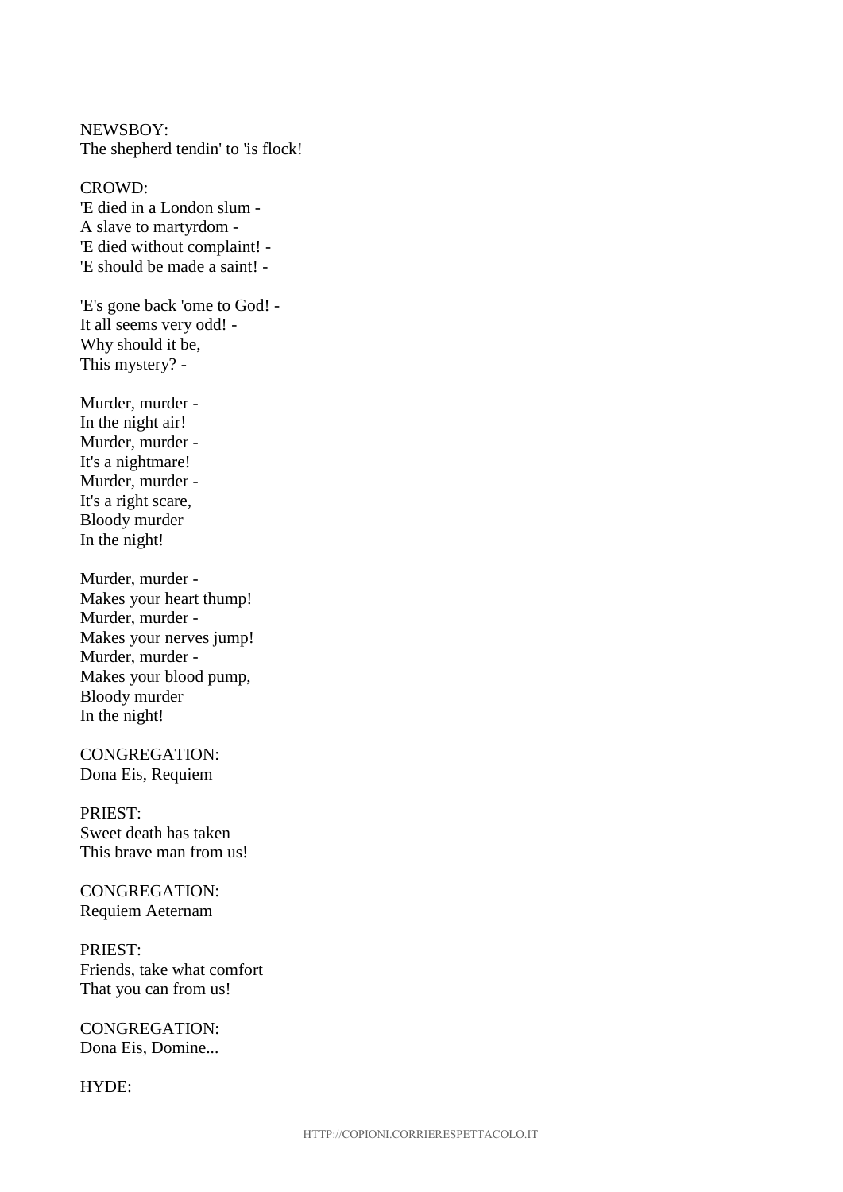NEWSBOY: The shepherd tendin' to 'is flock!

CROWD: 'E died in a London slum - A slave to martyrdom - 'E died without complaint! - 'E should be made a saint! -

'E's gone back 'ome to God! - It all seems very odd! - Why should it be, This mystery? -

Murder, murder - In the night air! Murder, murder - It's a nightmare! Murder, murder - It's a right scare, Bloody murder In the night!

Murder, murder - Makes your heart thump! Murder, murder - Makes your nerves jump! Murder, murder - Makes your blood pump, Bloody murder In the night!

CONGREGATION: Dona Eis, Requiem

PRIEST: Sweet death has taken This brave man from us!

CONGREGATION: Requiem Aeternam

PRIEST: Friends, take what comfort That you can from us!

CONGREGATION: Dona Eis, Domine...

HYDE: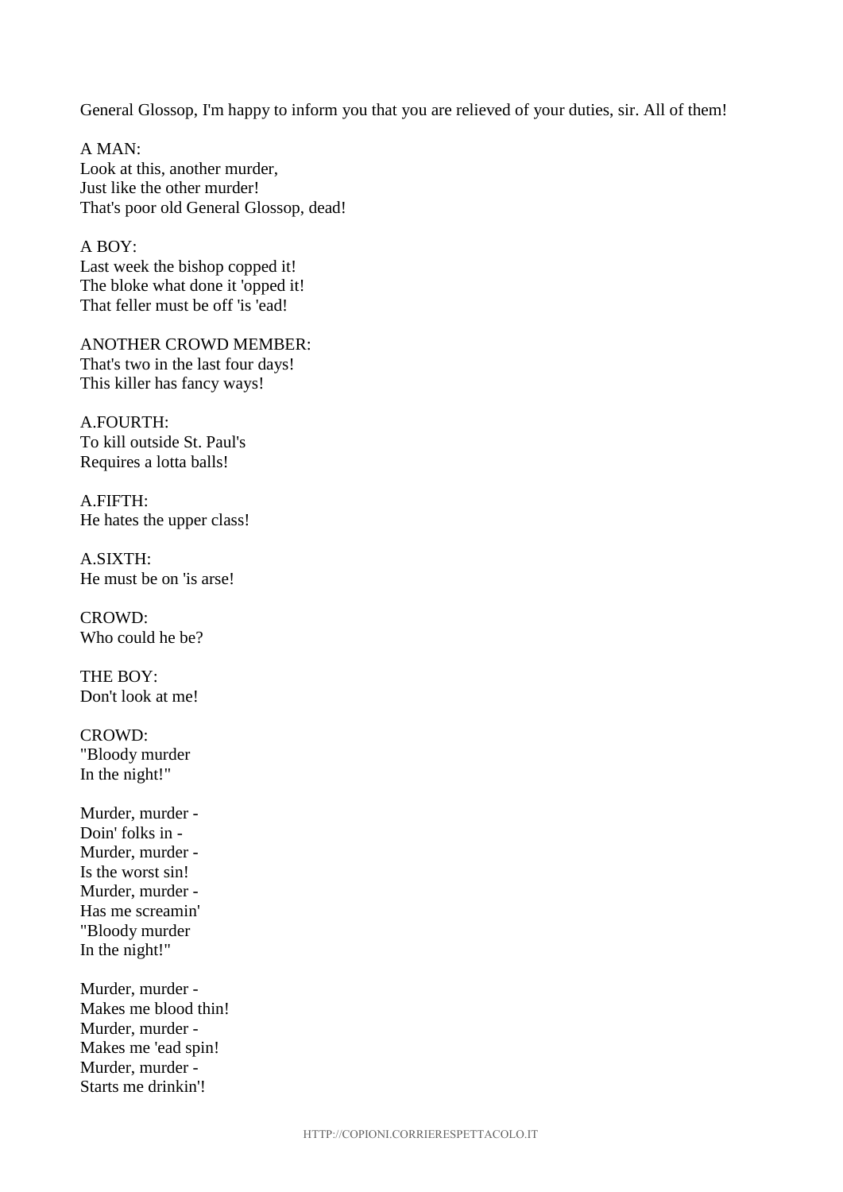General Glossop, I'm happy to inform you that you are relieved of your duties, sir. All of them!

A MAN: Look at this, another murder, Just like the other murder! That's poor old General Glossop, dead!

A BOY: Last week the bishop copped it! The bloke what done it 'opped it! That feller must be off 'is 'ead!

ANOTHER CROWD MEMBER: That's two in the last four days! This killer has fancy ways!

A.FOURTH: To kill outside St. Paul's Requires a lotta balls!

A.FIFTH: He hates the upper class!

A.SIXTH: He must be on 'is arse!

CROWD: Who could he be?

THE BOY: Don't look at me!

CROWD: "Bloody murder In the night!"

Murder, murder - Doin' folks in - Murder, murder - Is the worst sin! Murder, murder - Has me screamin' "Bloody murder In the night!"

Murder, murder - Makes me blood thin! Murder, murder - Makes me 'ead spin! Murder, murder - Starts me drinkin'!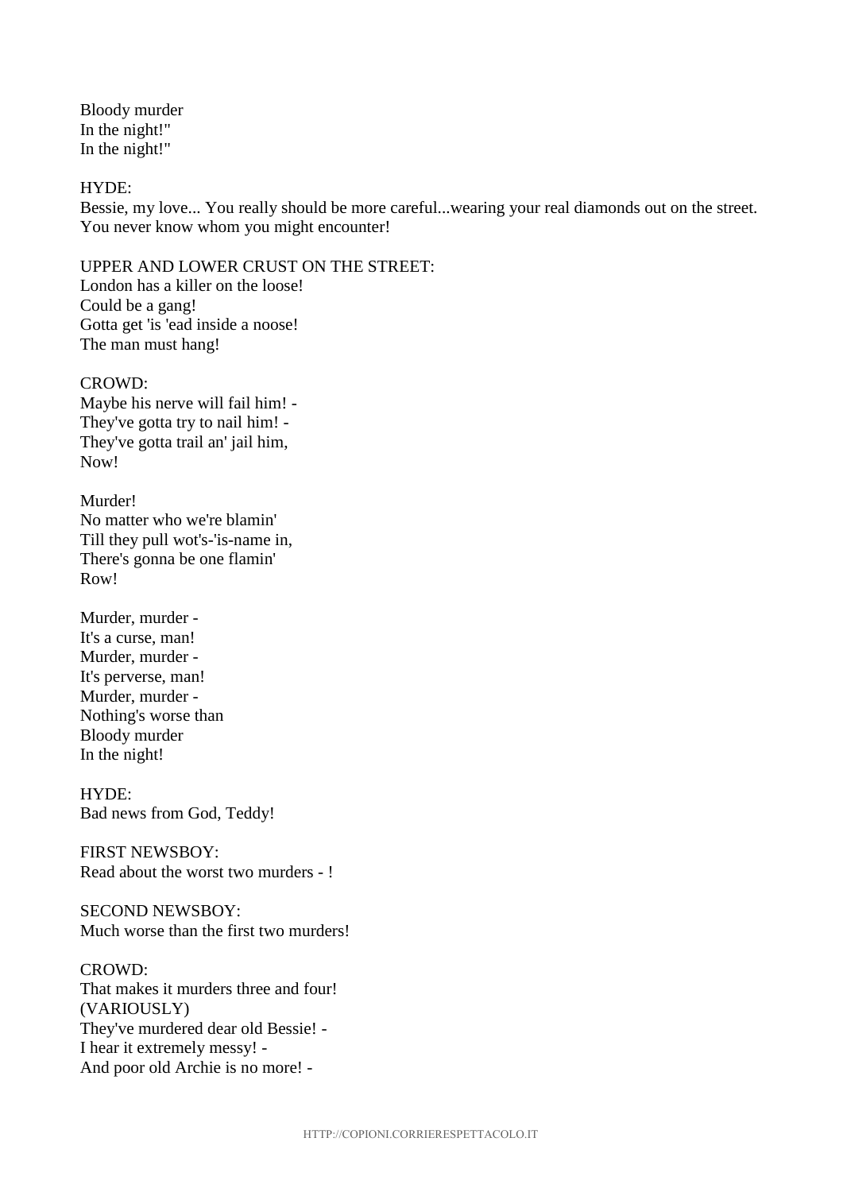Bloody murder In the night!" In the night!"

#### HYDE:

Bessie, my love... You really should be more careful...wearing your real diamonds out on the street. You never know whom you might encounter!

## UPPER AND LOWER CRUST ON THE STREET:

London has a killer on the loose! Could be a gang! Gotta get 'is 'ead inside a noose! The man must hang!

CROWD:

Maybe his nerve will fail him! - They've gotta try to nail him! - They've gotta trail an' jail him, Now!

Murder! No matter who we're blamin' Till they pull wot's-'is-name in, There's gonna be one flamin' Row!

Murder, murder - It's a curse, man! Murder, murder - It's perverse, man! Murder, murder - Nothing's worse than Bloody murder In the night!

HYDE: Bad news from God, Teddy!

FIRST NEWSBOY: Read about the worst two murders - !

SECOND NEWSBOY: Much worse than the first two murders!

CROWD:

That makes it murders three and four! (VARIOUSLY) They've murdered dear old Bessie! - I hear it extremely messy! - And poor old Archie is no more! -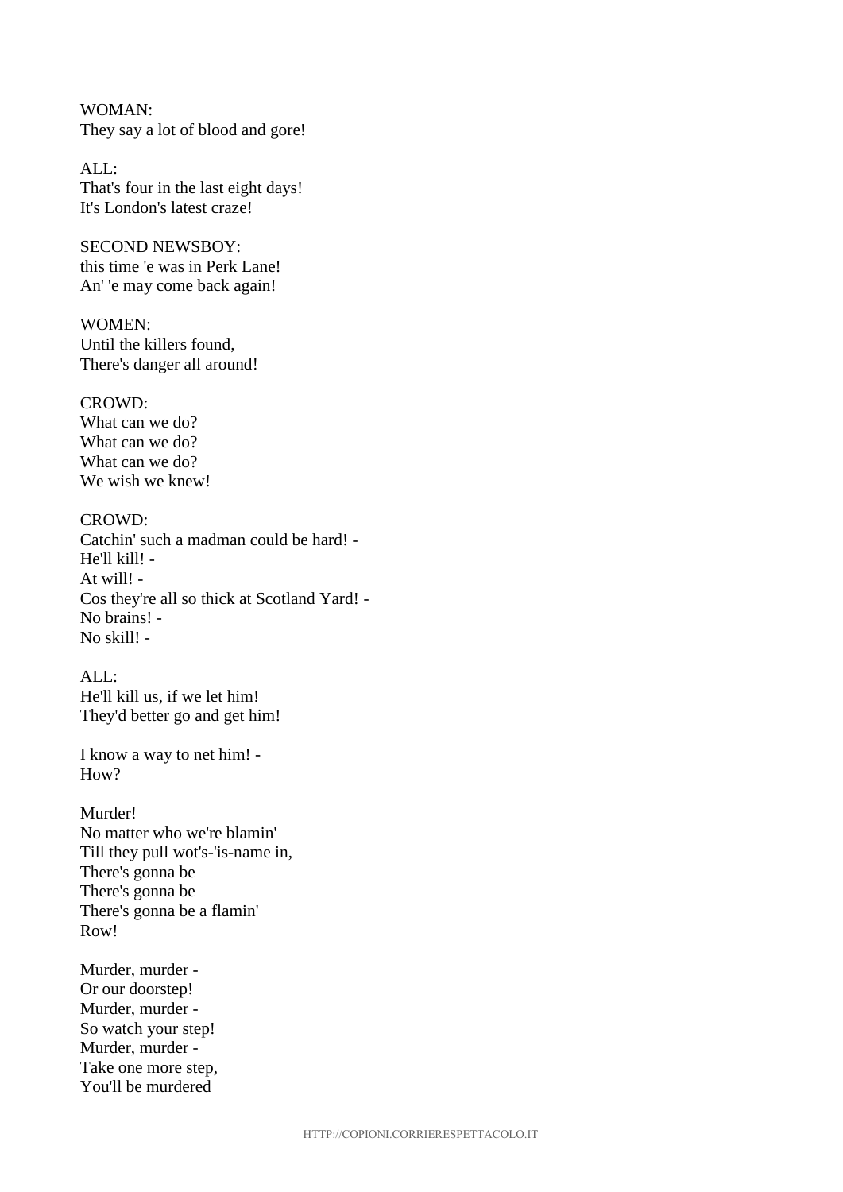WOMAN: They say a lot of blood and gore!

 $AI:$ That's four in the last eight days! It's London's latest craze!

SECOND NEWSBOY: this time 'e was in Perk Lane! An' 'e may come back again!

WOMEN: Until the killers found, There's danger all around!

CROWD: What can we do? What can we do? What can we do? We wish we knew!

# CROWD: Catchin' such a madman could be hard! - He'll kill! - At will! - Cos they're all so thick at Scotland Yard! - No brains! - No skill! -

 $AI:$ He'll kill us, if we let him! They'd better go and get him!

I know a way to net him! - How?

Murder! No matter who we're blamin' Till they pull wot's-'is-name in, There's gonna be There's gonna be There's gonna be a flamin' Row!

Murder, murder - Or our doorstep! Murder, murder - So watch your step! Murder, murder - Take one more step, You'll be murdered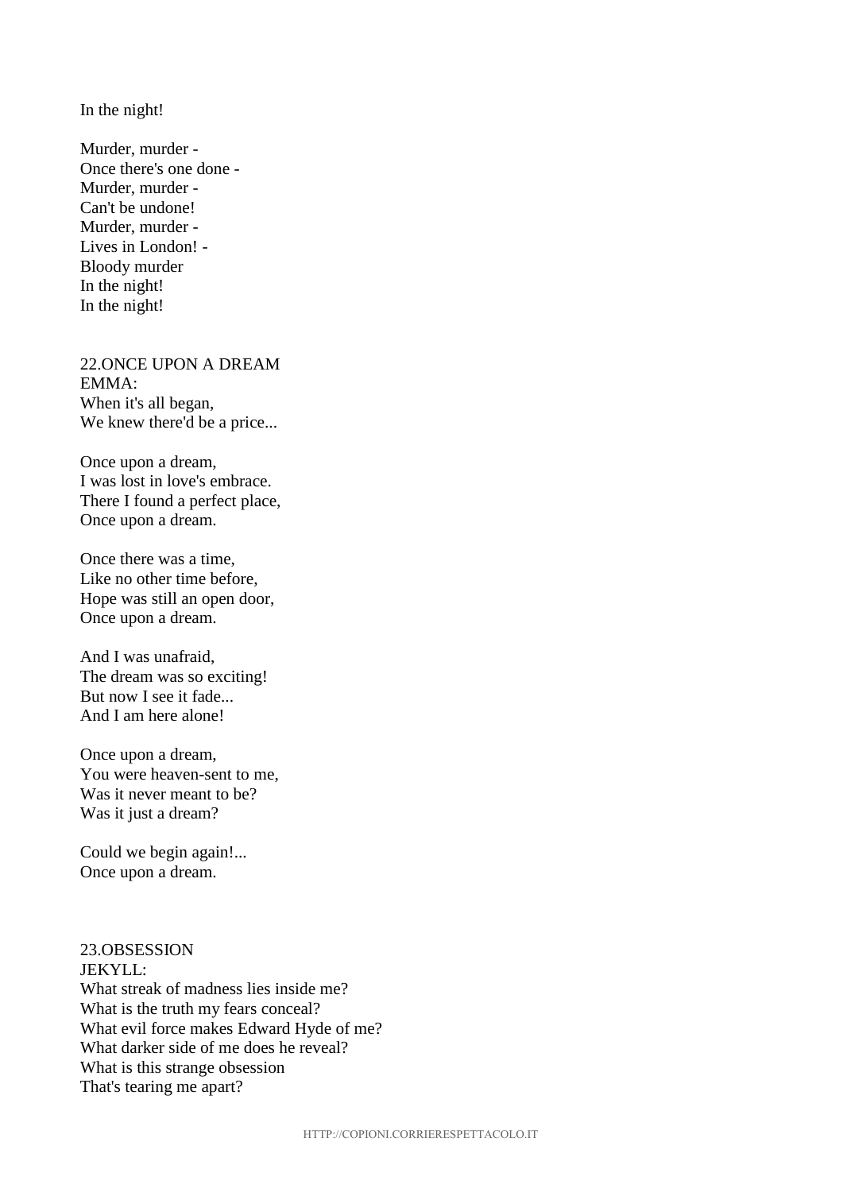In the night!

Murder, murder - Once there's one done - Murder, murder -Can't be undone! Murder, murder - Lives in London! - Bloody murder In the night! In the night!

# 22.ONCE UPON A DREAM EMMA: When it's all began, We knew there'd be a price...

Once upon a dream, I was lost in love's embrace. There I found a perfect place, Once upon a dream.

Once there was a time, Like no other time before, Hope was still an open door, Once upon a dream.

And I was unafraid, The dream was so exciting! But now I see it fade... And I am here alone!

Once upon a dream, You were heaven-sent to me, Was it never meant to be? Was it just a dream?

Could we begin again!... Once upon a dream.

23.OBSESSION JEKYLL: What streak of madness lies inside me? What is the truth my fears conceal? What evil force makes Edward Hyde of me? What darker side of me does he reveal? What is this strange obsession That's tearing me apart?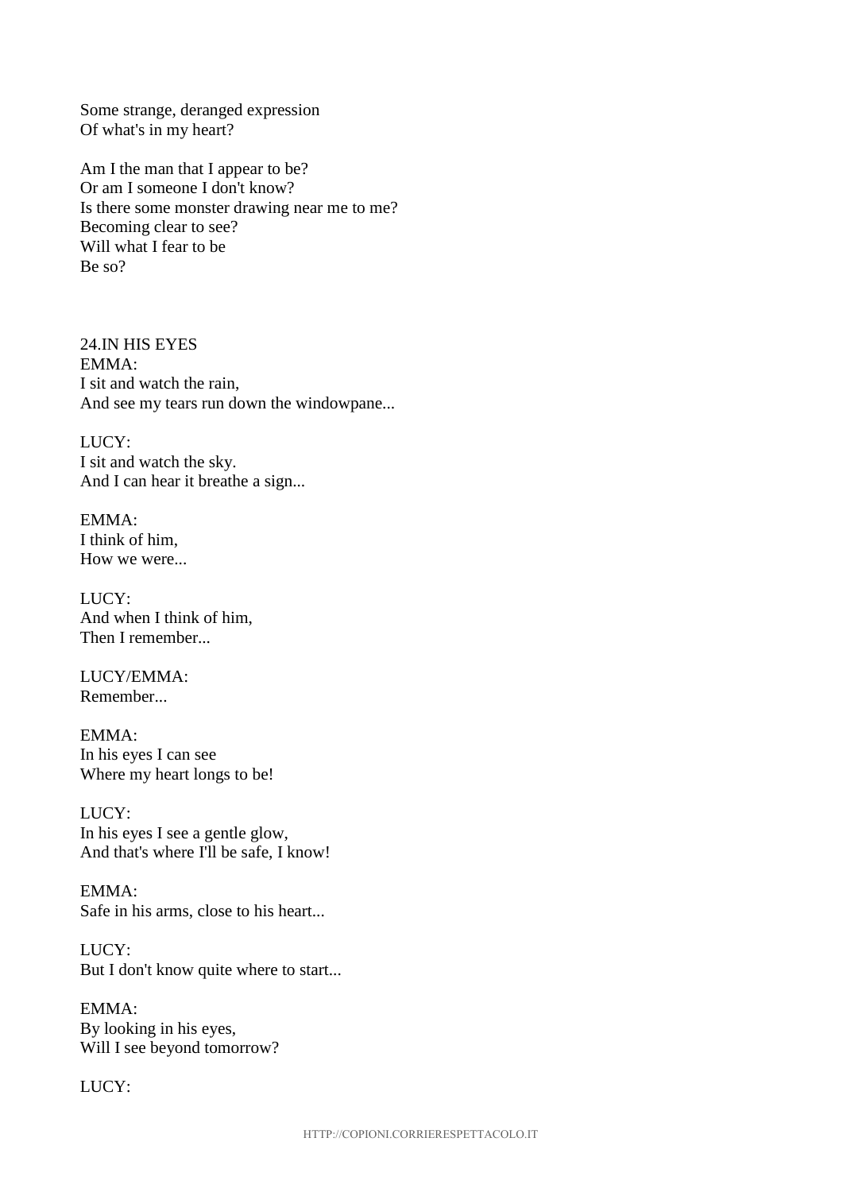Some strange, deranged expression Of what's in my heart?

Am I the man that I appear to be? Or am I someone I don't know? Is there some monster drawing near me to me? Becoming clear to see? Will what I fear to be Be so?

24.IN HIS EYES EMMA: I sit and watch the rain, And see my tears run down the windowpane...

LUCY: I sit and watch the sky. And I can hear it breathe a sign...

EMMA: I think of him, How we were...

LUCY: And when I think of him, Then I remember...

LUCY/EMMA: Remember...

EMMA: In his eyes I can see Where my heart longs to be!

LUCY: In his eyes I see a gentle glow, And that's where I'll be safe, I know!

EMMA: Safe in his arms, close to his heart...

LUCY: But I don't know quite where to start...

EMMA: By looking in his eyes, Will I see beyond tomorrow?

LUCY: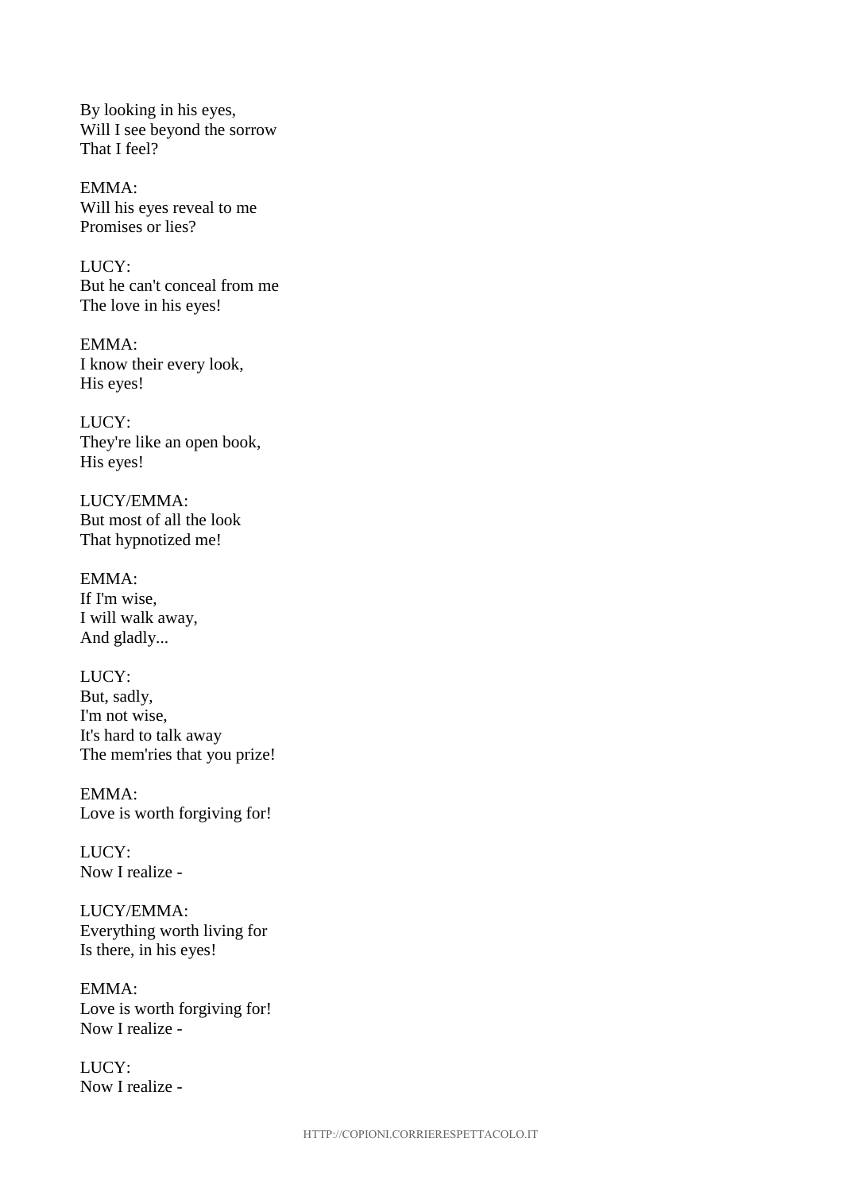By looking in his eyes, Will I see beyond the sorrow That I feel?

EMMA: Will his eyes reveal to me Promises or lies?

LUCY: But he can't conceal from me The love in his eyes!

EMMA: I know their every look, His eyes!

LUCY: They're like an open book, His eyes!

LUCY/EMMA: But most of all the look That hypnotized me!

EMMA: If I'm wise, I will walk away, And gladly...

LUCY: But, sadly, I'm not wise, It's hard to talk away The mem'ries that you prize!

EMMA: Love is worth forgiving for!

LUCY: Now I realize -

LUCY/EMMA: Everything worth living for Is there, in his eyes!

EMMA: Love is worth forgiving for! Now I realize -

LUCY: Now I realize -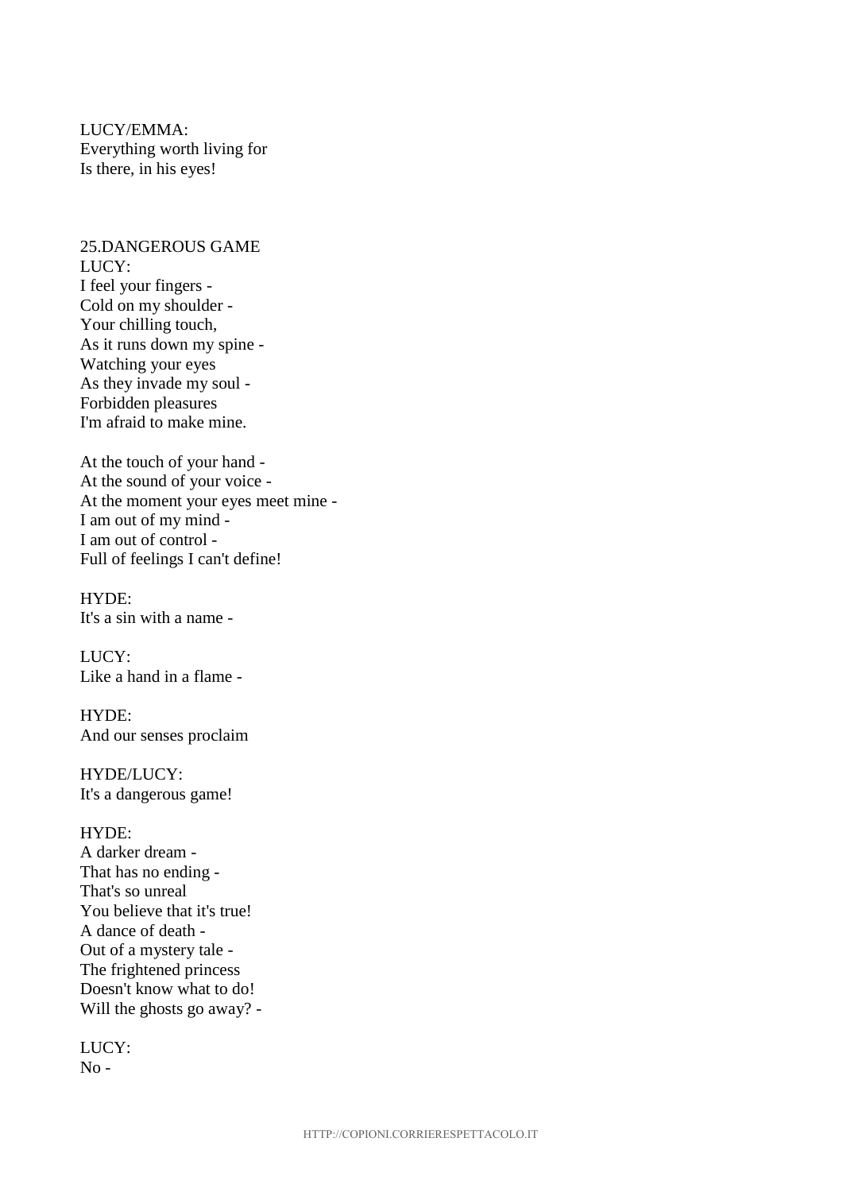LUCY/EMMA: Everything worth living for Is there, in his eyes!

## 25.DANGEROUS GAME LUCY: I feel your fingers - Cold on my shoulder -

Your chilling touch, As it runs down my spine - Watching your eyes As they invade my soul - Forbidden pleasures I'm afraid to make mine.

At the touch of your hand - At the sound of your voice - At the moment your eyes meet mine - I am out of my mind - I am out of control - Full of feelings I can't define!

HYDE: It's a sin with a name -

LUCY<sup>.</sup> Like a hand in a flame -

HYDE: And our senses proclaim

HYDE/LUCY: It's a dangerous game!

# HYDE:

A darker dream - That has no ending - That's so unreal You believe that it's true! A dance of death - Out of a mystery tale - The frightened princess Doesn't know what to do! Will the ghosts go away? -

LUCY:  $No -$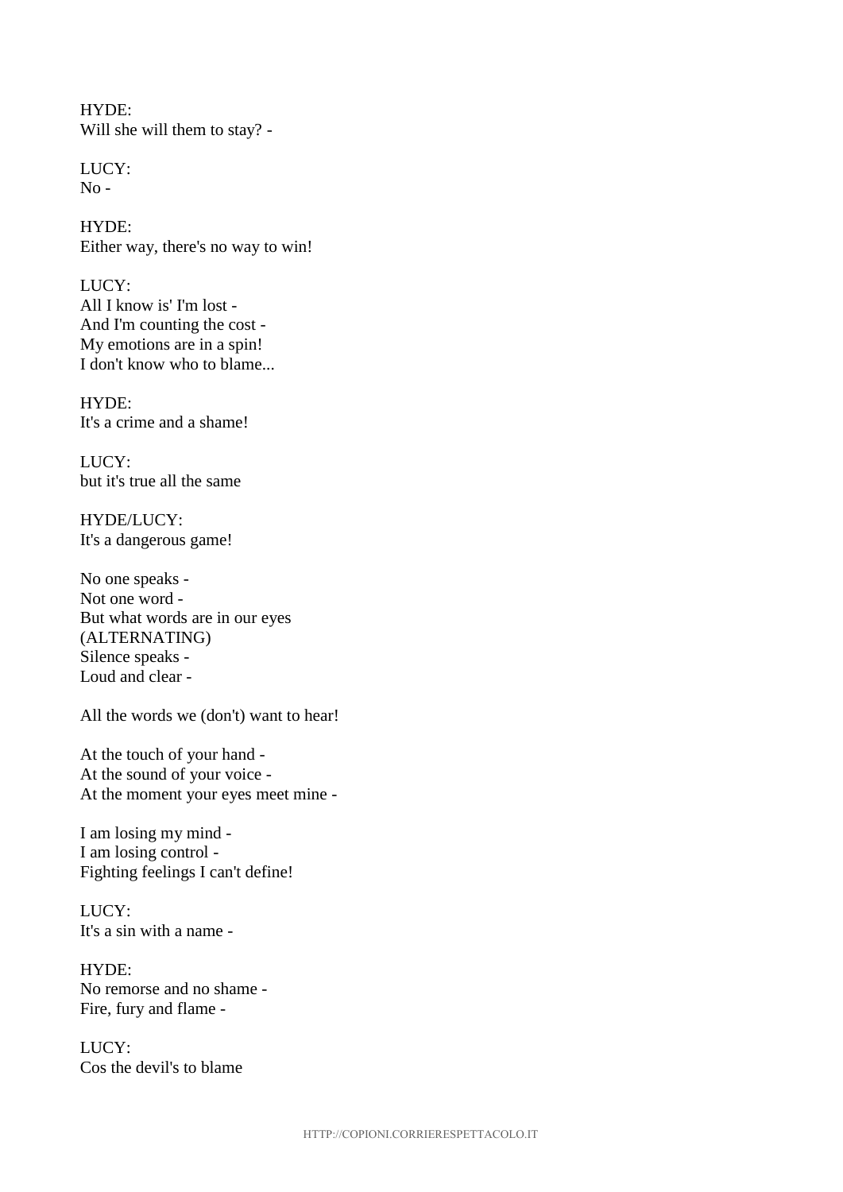HYDE: Will she will them to stay? -

LUCY:  $N<sub>0</sub>$ 

HYDE: Either way, there's no way to win!

LUCY: All I know is' I'm lost - And I'm counting the cost - My emotions are in a spin! I don't know who to blame...

HYDE: It's a crime and a shame!

LUCY: but it's true all the same

HYDE/LUCY: It's a dangerous game!

No one speaks - Not one word - But what words are in our eyes (ALTERNATING) Silence speaks - Loud and clear -

All the words we (don't) want to hear!

At the touch of your hand - At the sound of your voice - At the moment your eyes meet mine -

I am losing my mind - I am losing control - Fighting feelings I can't define!

LUCY: It's a sin with a name -

HYDE: No remorse and no shame - Fire, fury and flame -

LUCY: Cos the devil's to blame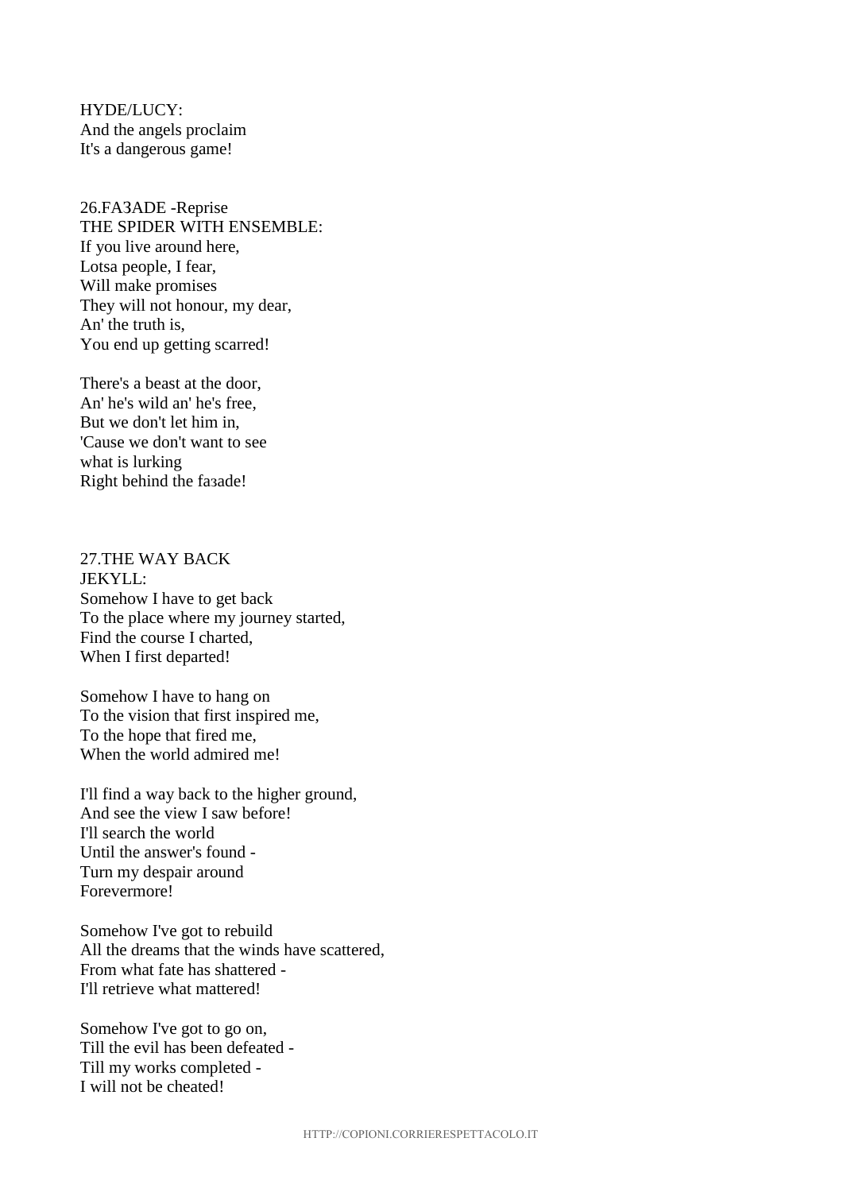HYDE/LUCY: And the angels proclaim It's a dangerous game!

26.FAЗADE -Reprise THE SPIDER WITH ENSEMBLE: If you live around here, Lotsa people, I fear, Will make promises They will not honour, my dear, An' the truth is, You end up getting scarred!

There's a beast at the door, An' he's wild an' he's free, But we don't let him in, 'Cause we don't want to see what is lurking Right behind the faзade!

27.THE WAY BACK JEKYLL: Somehow I have to get back To the place where my journey started, Find the course I charted, When I first departed!

Somehow I have to hang on To the vision that first inspired me, To the hope that fired me, When the world admired me!

I'll find a way back to the higher ground, And see the view I saw before! I'll search the world Until the answer's found - Turn my despair around Forevermore!

Somehow I've got to rebuild All the dreams that the winds have scattered, From what fate has shattered - I'll retrieve what mattered!

Somehow I've got to go on, Till the evil has been defeated - Till my works completed - I will not be cheated!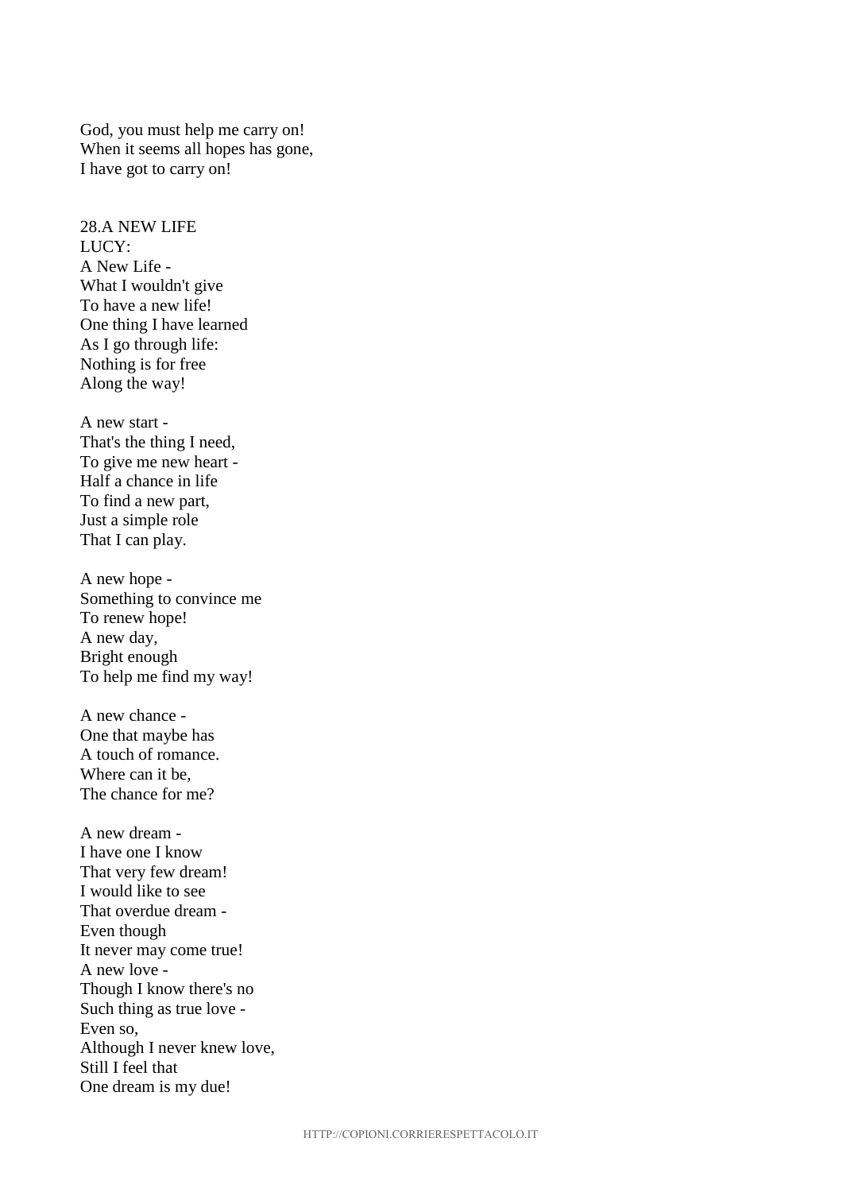God, you must help me carry on! When it seems all hopes has gone, I have got to carry on!

28.A NEW LIFE LUCY: A New Life - What I wouldn't give To have a new life! One thing I have learned As I go through life: Nothing is for free Along the way!

A new start - That's the thing I need, To give me new heart - Half a chance in life To find a new part, Just a simple role That I can play.

A new hope - Something to convince me To renew hope! A new day, Bright enough To help me find my way!

A new chance - One that maybe has A touch of romance. Where can it be, The chance for me?

A new dream - I have one I know That very few dream! I would like to see That overdue dream - Even though It never may come true! A new love - Though I know there's no Such thing as true love - Even so, Although I never knew love, Still I feel that One dream is my due!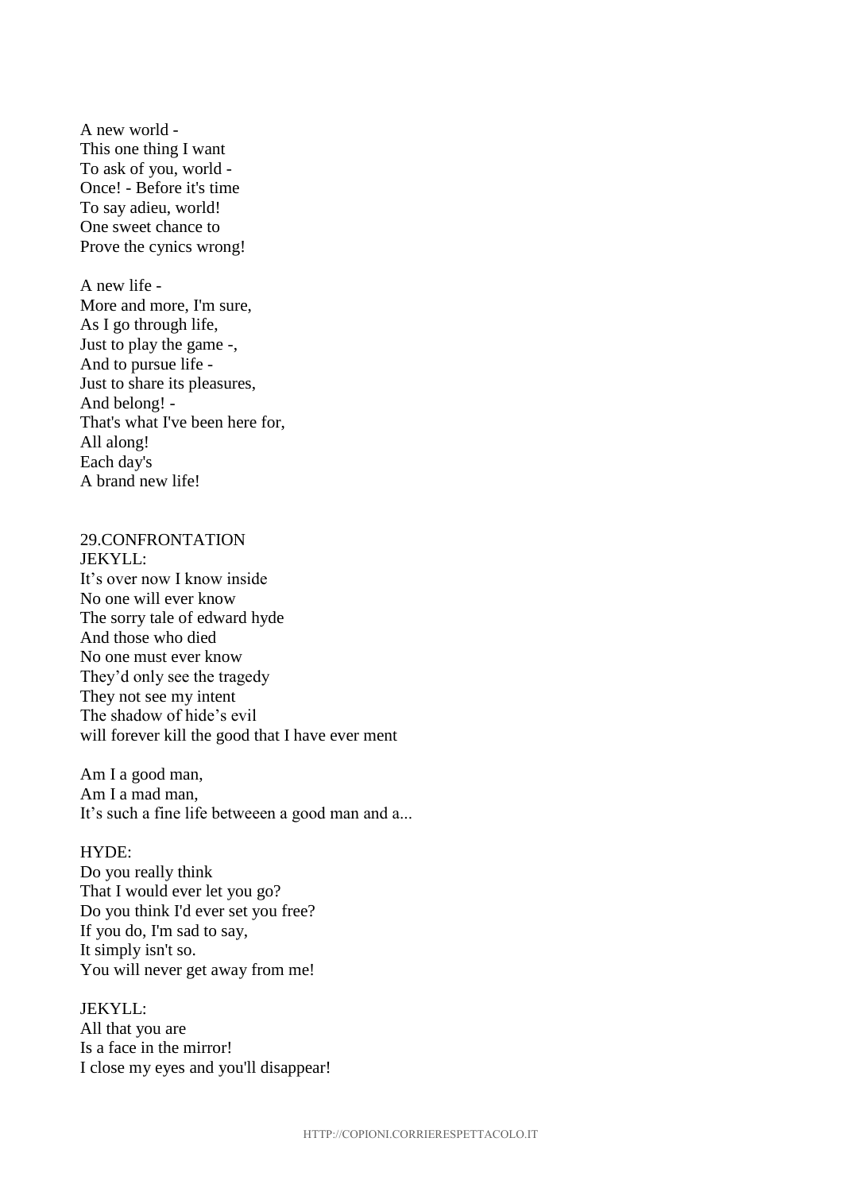A new world - This one thing I want To ask of you, world - Once! - Before it's time To say adieu, world! One sweet chance to Prove the cynics wrong!

A new life - More and more, I'm sure, As I go through life, Just to play the game -, And to pursue life - Just to share its pleasures, And belong! - That's what I've been here for, All along! Each day's A brand new life!

#### 29.CONFRONTATION JEKYLL:

It's over now I know inside No one will ever know The sorry tale of edward hyde And those who died No one must ever know They'd only see the tragedy They not see my intent The shadow of hide's evil will forever kill the good that I have ever ment

Am I a good man, Am I a mad man, It's such a fine life betweeen a good man and a...

# HYDE:

Do you really think That I would ever let you go? Do you think I'd ever set you free? If you do, I'm sad to say, It simply isn't so. You will never get away from me!

# JEKYLL:

All that you are Is a face in the mirror! I close my eyes and you'll disappear!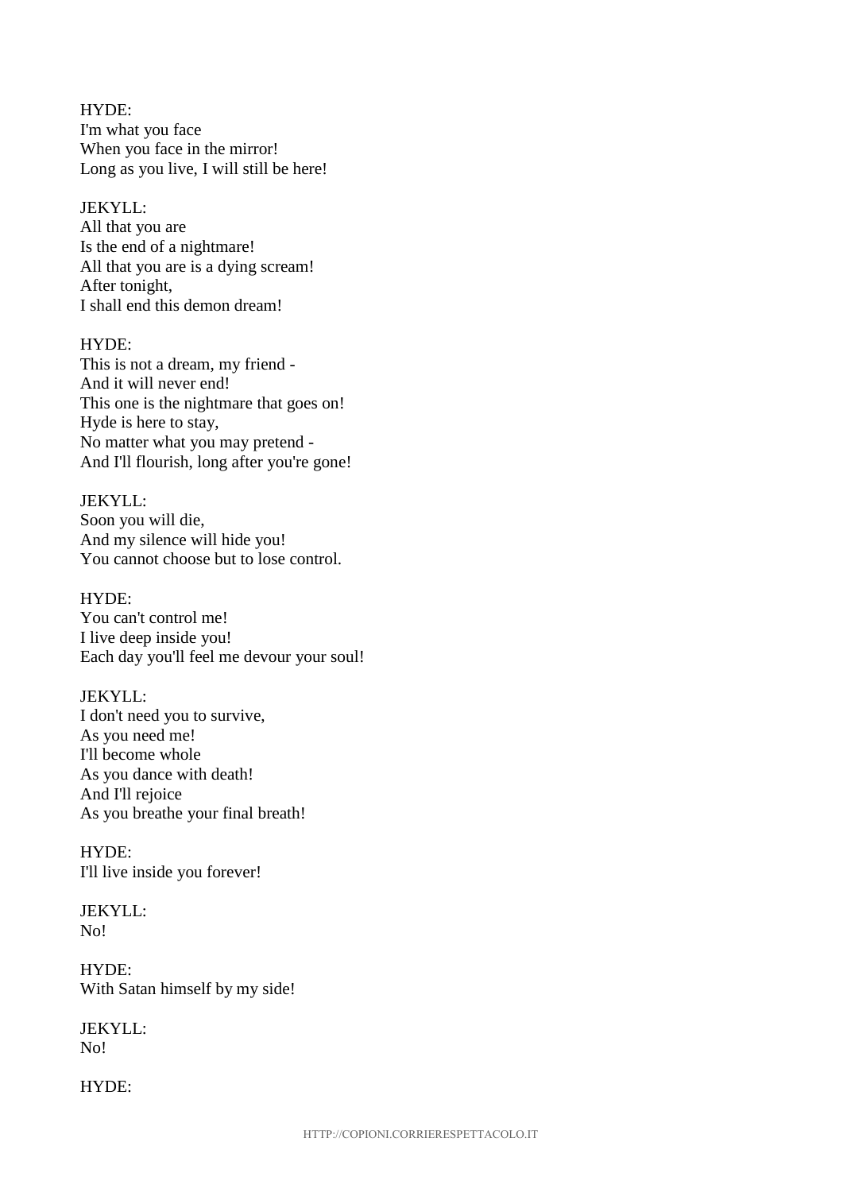HYDE: I'm what you face When you face in the mirror! Long as you live, I will still be here!

## JEKYLL:

All that you are Is the end of a nightmare! All that you are is a dying scream! After tonight, I shall end this demon dream!

### HYDE:

This is not a dream, my friend - And it will never end! This one is the nightmare that goes on! Hyde is here to stay, No matter what you may pretend - And I'll flourish, long after you're gone!

JEKYLL: Soon you will die, And my silence will hide you! You cannot choose but to lose control.

HYDE: You can't control me! I live deep inside you! Each day you'll feel me devour your soul!

#### JEKYLL:

I don't need you to survive, As you need me! I'll become whole As you dance with death! And I'll rejoice As you breathe your final breath!

HYDE: I'll live inside you forever!

JEKYLL: No!

HYDE: With Satan himself by my side!

JEKYLL: No!

HYDE: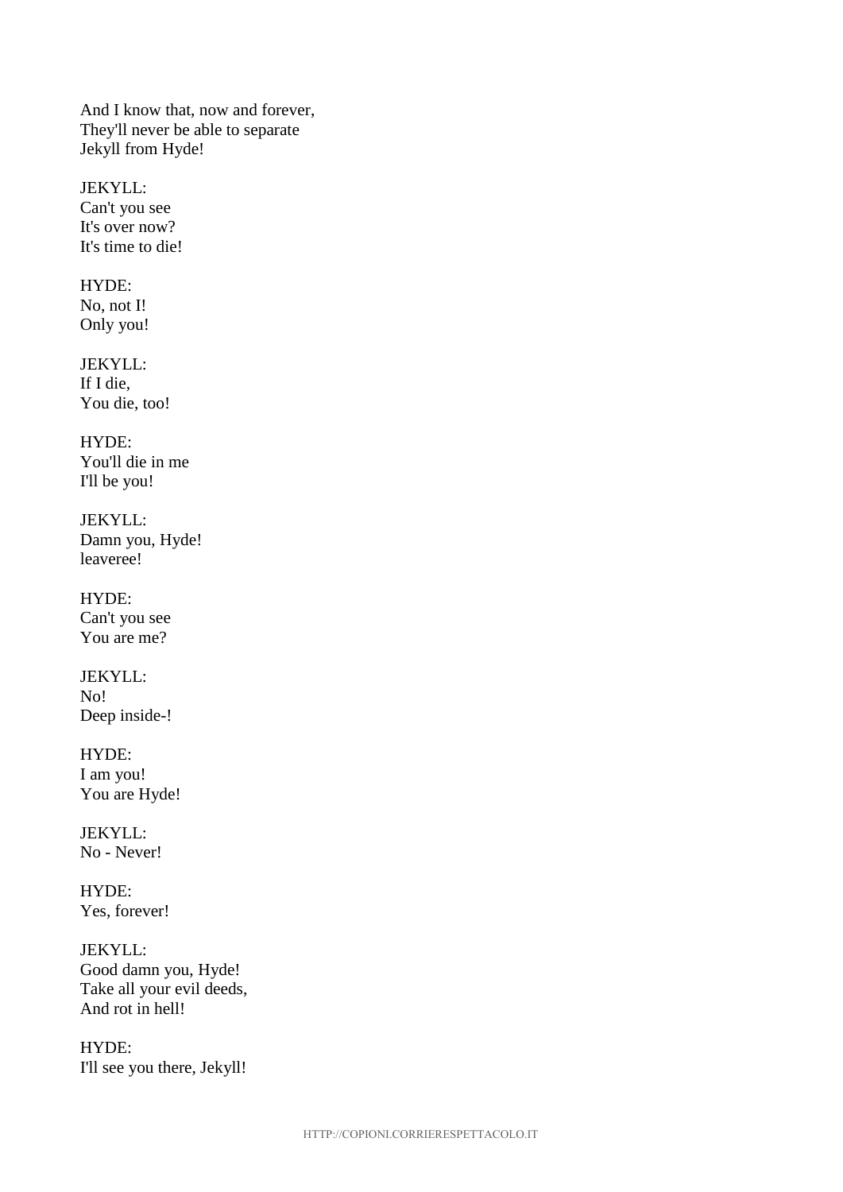And I know that, now and forever, They'll never be able to separate Jekyll from Hyde!

JEKYLL: Can't you see It's over now? It's time to die!

HYDE: No, not I! Only you!

JEKYLL: If I die, You die, too!

HYDE: You'll die in me I'll be you!

JEKYLL: Damn you, Hyde! leaveree!

HYDE: Can't you see You are me?

JEKYLL: No! Deep inside-!

HYDE: I am you! You are Hyde!

JEKYLL: No - Never!

HYDE: Yes, forever!

JEKYLL: Good damn you, Hyde! Take all your evil deeds, And rot in hell!

HYDE: I'll see you there, Jekyll!